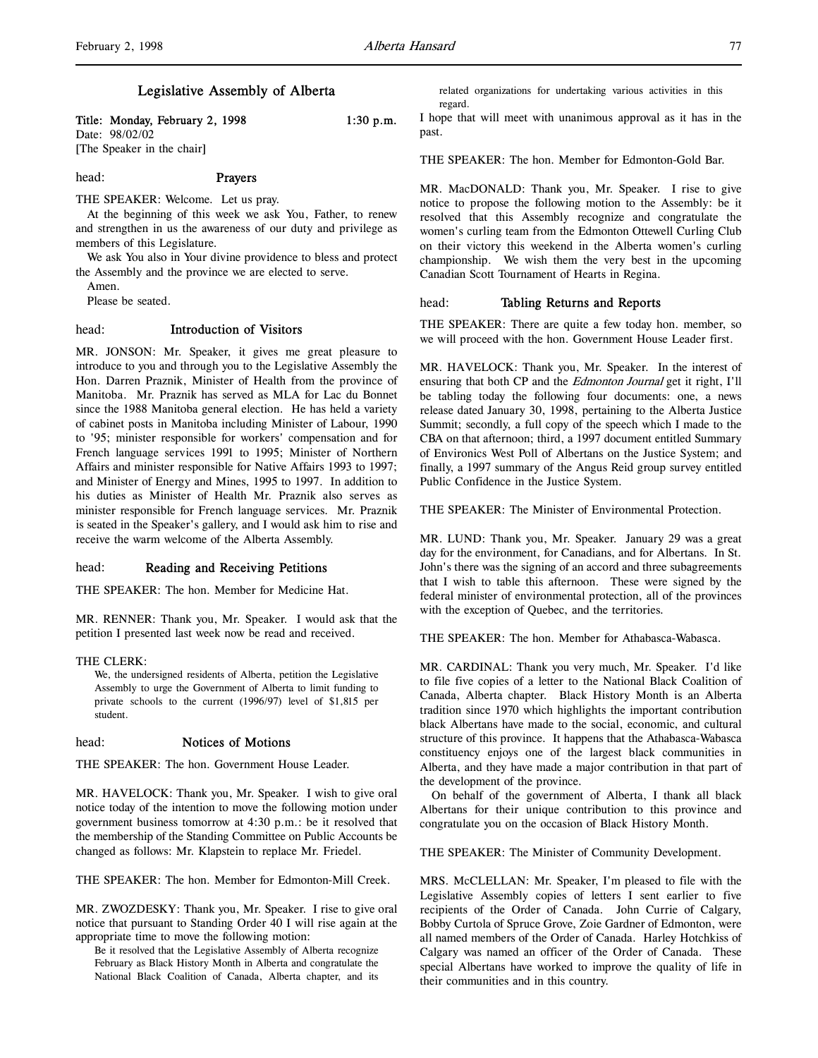# Legislative Assembly of Alberta

# Title: Monday, February 2, 1998 1:30 p.m.

Date: 98/02/02 [The Speaker in the chair]

## head: Prayers

THE SPEAKER: Welcome. Let us pray.

At the beginning of this week we ask You, Father, to renew and strengthen in us the awareness of our duty and privilege as members of this Legislature.

We ask You also in Your divine providence to bless and protect the Assembly and the province we are elected to serve.

Amen.

Please be seated.

# head: Introduction of Visitors

MR. JONSON: Mr. Speaker, it gives me great pleasure to introduce to you and through you to the Legislative Assembly the Hon. Darren Praznik, Minister of Health from the province of Manitoba. Mr. Praznik has served as MLA for Lac du Bonnet since the 1988 Manitoba general election. He has held a variety of cabinet posts in Manitoba including Minister of Labour, 1990 to '95; minister responsible for workers' compensation and for French language services 1991 to 1995; Minister of Northern Affairs and minister responsible for Native Affairs 1993 to 1997; and Minister of Energy and Mines, 1995 to 1997. In addition to his duties as Minister of Health Mr. Praznik also serves as minister responsible for French language services. Mr. Praznik is seated in the Speaker's gallery, and I would ask him to rise and receive the warm welcome of the Alberta Assembly.

### head: Reading and Receiving Petitions

THE SPEAKER: The hon. Member for Medicine Hat.

MR. RENNER: Thank you, Mr. Speaker. I would ask that the petition I presented last week now be read and received.

### THE CLERK:

We, the undersigned residents of Alberta, petition the Legislative Assembly to urge the Government of Alberta to limit funding to private schools to the current (1996/97) level of \$1,815 per student.

## head: Notices of Motions

THE SPEAKER: The hon. Government House Leader.

MR. HAVELOCK: Thank you, Mr. Speaker. I wish to give oral notice today of the intention to move the following motion under government business tomorrow at 4:30 p.m.: be it resolved that the membership of the Standing Committee on Public Accounts be changed as follows: Mr. Klapstein to replace Mr. Friedel.

THE SPEAKER: The hon. Member for Edmonton-Mill Creek.

MR. ZWOZDESKY: Thank you, Mr. Speaker. I rise to give oral notice that pursuant to Standing Order 40 I will rise again at the appropriate time to move the following motion:

Be it resolved that the Legislative Assembly of Alberta recognize February as Black History Month in Alberta and congratulate the National Black Coalition of Canada, Alberta chapter, and its

related organizations for undertaking various activities in this regard.

I hope that will meet with unanimous approval as it has in the past.

THE SPEAKER: The hon. Member for Edmonton-Gold Bar.

MR. MacDONALD: Thank you, Mr. Speaker. I rise to give notice to propose the following motion to the Assembly: be it resolved that this Assembly recognize and congratulate the women's curling team from the Edmonton Ottewell Curling Club on their victory this weekend in the Alberta women's curling championship. We wish them the very best in the upcoming Canadian Scott Tournament of Hearts in Regina.

### head: Tabling Returns and Reports

THE SPEAKER: There are quite a few today hon. member, so we will proceed with the hon. Government House Leader first.

MR. HAVELOCK: Thank you, Mr. Speaker. In the interest of ensuring that both CP and the Edmonton Journal get it right, I'll be tabling today the following four documents: one, a news release dated January 30, 1998, pertaining to the Alberta Justice Summit; secondly, a full copy of the speech which I made to the CBA on that afternoon; third, a 1997 document entitled Summary of Environics West Poll of Albertans on the Justice System; and finally, a 1997 summary of the Angus Reid group survey entitled Public Confidence in the Justice System.

THE SPEAKER: The Minister of Environmental Protection.

MR. LUND: Thank you, Mr. Speaker. January 29 was a great day for the environment, for Canadians, and for Albertans. In St. John's there was the signing of an accord and three subagreements that I wish to table this afternoon. These were signed by the federal minister of environmental protection, all of the provinces with the exception of Quebec, and the territories.

THE SPEAKER: The hon. Member for Athabasca-Wabasca.

MR. CARDINAL: Thank you very much, Mr. Speaker. I'd like to file five copies of a letter to the National Black Coalition of Canada, Alberta chapter. Black History Month is an Alberta tradition since 1970 which highlights the important contribution black Albertans have made to the social, economic, and cultural structure of this province. It happens that the Athabasca-Wabasca constituency enjoys one of the largest black communities in Alberta, and they have made a major contribution in that part of the development of the province.

On behalf of the government of Alberta, I thank all black Albertans for their unique contribution to this province and congratulate you on the occasion of Black History Month.

THE SPEAKER: The Minister of Community Development.

MRS. McCLELLAN: Mr. Speaker, I'm pleased to file with the Legislative Assembly copies of letters I sent earlier to five recipients of the Order of Canada. John Currie of Calgary, Bobby Curtola of Spruce Grove, Zoie Gardner of Edmonton, were all named members of the Order of Canada. Harley Hotchkiss of Calgary was named an officer of the Order of Canada. These special Albertans have worked to improve the quality of life in their communities and in this country.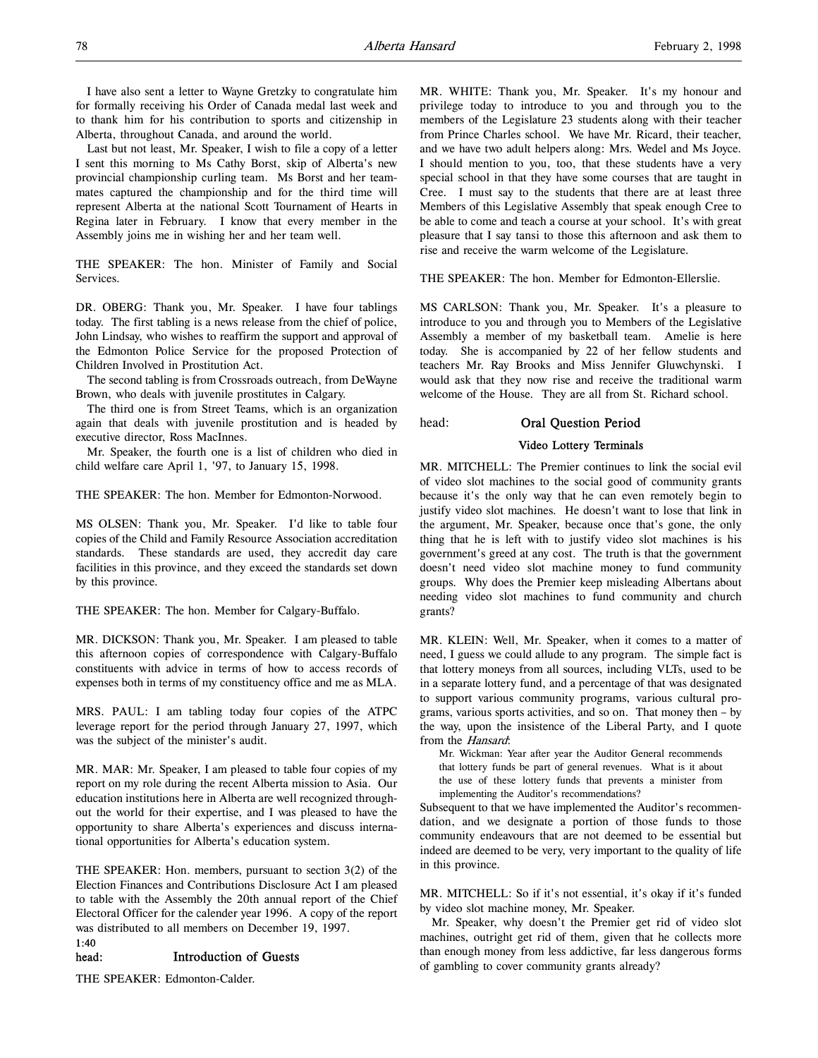I have also sent a letter to Wayne Gretzky to congratulate him for formally receiving his Order of Canada medal last week and to thank him for his contribution to sports and citizenship in Alberta, throughout Canada, and around the world.

Last but not least, Mr. Speaker, I wish to file a copy of a letter I sent this morning to Ms Cathy Borst, skip of Alberta's new provincial championship curling team. Ms Borst and her teammates captured the championship and for the third time will represent Alberta at the national Scott Tournament of Hearts in Regina later in February. I know that every member in the Assembly joins me in wishing her and her team well.

THE SPEAKER: The hon. Minister of Family and Social **Services** 

DR. OBERG: Thank you, Mr. Speaker. I have four tablings today. The first tabling is a news release from the chief of police, John Lindsay, who wishes to reaffirm the support and approval of the Edmonton Police Service for the proposed Protection of Children Involved in Prostitution Act.

The second tabling is from Crossroads outreach, from DeWayne Brown, who deals with juvenile prostitutes in Calgary.

The third one is from Street Teams, which is an organization again that deals with juvenile prostitution and is headed by executive director, Ross MacInnes.

Mr. Speaker, the fourth one is a list of children who died in child welfare care April 1, '97, to January 15, 1998.

THE SPEAKER: The hon. Member for Edmonton-Norwood.

MS OLSEN: Thank you, Mr. Speaker. I'd like to table four copies of the Child and Family Resource Association accreditation standards. These standards are used, they accredit day care facilities in this province, and they exceed the standards set down by this province.

THE SPEAKER: The hon. Member for Calgary-Buffalo.

MR. DICKSON: Thank you, Mr. Speaker. I am pleased to table this afternoon copies of correspondence with Calgary-Buffalo constituents with advice in terms of how to access records of expenses both in terms of my constituency office and me as MLA.

MRS. PAUL: I am tabling today four copies of the ATPC leverage report for the period through January 27, 1997, which was the subject of the minister's audit.

MR. MAR: Mr. Speaker, I am pleased to table four copies of my report on my role during the recent Alberta mission to Asia. Our education institutions here in Alberta are well recognized throughout the world for their expertise, and I was pleased to have the opportunity to share Alberta's experiences and discuss international opportunities for Alberta's education system.

THE SPEAKER: Hon. members, pursuant to section 3(2) of the Election Finances and Contributions Disclosure Act I am pleased to table with the Assembly the 20th annual report of the Chief Electoral Officer for the calender year 1996. A copy of the report was distributed to all members on December 19, 1997. 1:40

#### head: Introduction of Guests

THE SPEAKER: Edmonton-Calder.

MR. WHITE: Thank you, Mr. Speaker. It's my honour and privilege today to introduce to you and through you to the members of the Legislature 23 students along with their teacher from Prince Charles school. We have Mr. Ricard, their teacher, and we have two adult helpers along: Mrs. Wedel and Ms Joyce. I should mention to you, too, that these students have a very special school in that they have some courses that are taught in Cree. I must say to the students that there are at least three Members of this Legislative Assembly that speak enough Cree to be able to come and teach a course at your school. It's with great pleasure that I say tansi to those this afternoon and ask them to rise and receive the warm welcome of the Legislature.

THE SPEAKER: The hon. Member for Edmonton-Ellerslie.

MS CARLSON: Thank you, Mr. Speaker. It's a pleasure to introduce to you and through you to Members of the Legislative Assembly a member of my basketball team. Amelie is here today. She is accompanied by 22 of her fellow students and teachers Mr. Ray Brooks and Miss Jennifer Gluwchynski. I would ask that they now rise and receive the traditional warm welcome of the House. They are all from St. Richard school.

### head: Oral Question Period

## Video Lottery Terminals

MR. MITCHELL: The Premier continues to link the social evil of video slot machines to the social good of community grants because it's the only way that he can even remotely begin to justify video slot machines. He doesn't want to lose that link in the argument, Mr. Speaker, because once that's gone, the only thing that he is left with to justify video slot machines is his government's greed at any cost. The truth is that the government doesn't need video slot machine money to fund community groups. Why does the Premier keep misleading Albertans about needing video slot machines to fund community and church grants?

MR. KLEIN: Well, Mr. Speaker, when it comes to a matter of need, I guess we could allude to any program. The simple fact is that lottery moneys from all sources, including VLTs, used to be in a separate lottery fund, and a percentage of that was designated to support various community programs, various cultural programs, various sports activities, and so on. That money then – by the way, upon the insistence of the Liberal Party, and I quote from the Hansard:

Mr. Wickman: Year after year the Auditor General recommends that lottery funds be part of general revenues. What is it about the use of these lottery funds that prevents a minister from implementing the Auditor's recommendations?

Subsequent to that we have implemented the Auditor's recommendation, and we designate a portion of those funds to those community endeavours that are not deemed to be essential but indeed are deemed to be very, very important to the quality of life in this province.

MR. MITCHELL: So if it's not essential, it's okay if it's funded by video slot machine money, Mr. Speaker.

Mr. Speaker, why doesn't the Premier get rid of video slot machines, outright get rid of them, given that he collects more than enough money from less addictive, far less dangerous forms of gambling to cover community grants already?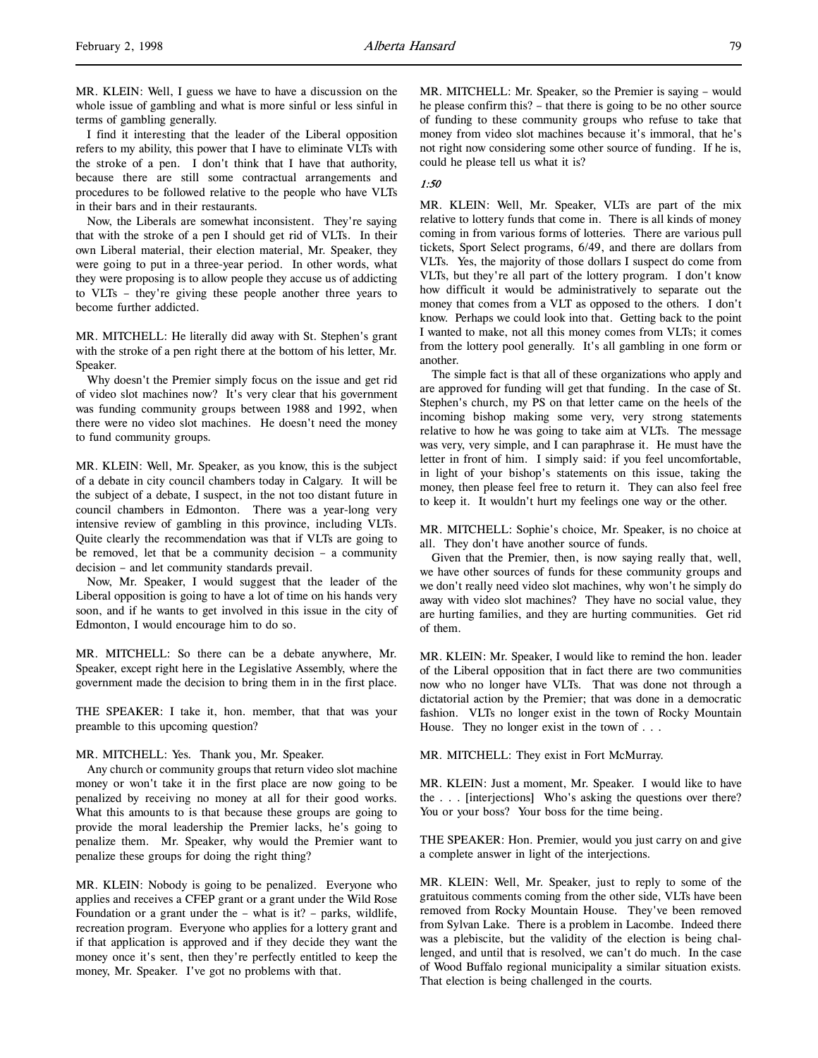MR. KLEIN: Well, I guess we have to have a discussion on the whole issue of gambling and what is more sinful or less sinful in terms of gambling generally.

I find it interesting that the leader of the Liberal opposition refers to my ability, this power that I have to eliminate VLTs with the stroke of a pen. I don't think that I have that authority, because there are still some contractual arrangements and procedures to be followed relative to the people who have VLTs in their bars and in their restaurants.

Now, the Liberals are somewhat inconsistent. They're saying that with the stroke of a pen I should get rid of VLTs. In their own Liberal material, their election material, Mr. Speaker, they were going to put in a three-year period. In other words, what they were proposing is to allow people they accuse us of addicting to VLTs – they're giving these people another three years to become further addicted.

MR. MITCHELL: He literally did away with St. Stephen's grant with the stroke of a pen right there at the bottom of his letter, Mr. Speaker.

Why doesn't the Premier simply focus on the issue and get rid of video slot machines now? It's very clear that his government was funding community groups between 1988 and 1992, when there were no video slot machines. He doesn't need the money to fund community groups.

MR. KLEIN: Well, Mr. Speaker, as you know, this is the subject of a debate in city council chambers today in Calgary. It will be the subject of a debate, I suspect, in the not too distant future in council chambers in Edmonton. There was a year-long very intensive review of gambling in this province, including VLTs. Quite clearly the recommendation was that if VLTs are going to be removed, let that be a community decision – a community decision – and let community standards prevail.

Now, Mr. Speaker, I would suggest that the leader of the Liberal opposition is going to have a lot of time on his hands very soon, and if he wants to get involved in this issue in the city of Edmonton, I would encourage him to do so.

MR. MITCHELL: So there can be a debate anywhere, Mr. Speaker, except right here in the Legislative Assembly, where the government made the decision to bring them in in the first place.

THE SPEAKER: I take it, hon. member, that that was your preamble to this upcoming question?

### MR. MITCHELL: Yes. Thank you, Mr. Speaker.

Any church or community groups that return video slot machine money or won't take it in the first place are now going to be penalized by receiving no money at all for their good works. What this amounts to is that because these groups are going to provide the moral leadership the Premier lacks, he's going to penalize them. Mr. Speaker, why would the Premier want to penalize these groups for doing the right thing?

MR. KLEIN: Nobody is going to be penalized. Everyone who applies and receives a CFEP grant or a grant under the Wild Rose Foundation or a grant under the  $-$  what is it?  $-$  parks, wildlife, recreation program. Everyone who applies for a lottery grant and if that application is approved and if they decide they want the money once it's sent, then they're perfectly entitled to keep the money, Mr. Speaker. I've got no problems with that.

MR. MITCHELL: Mr. Speaker, so the Premier is saying – would he please confirm this? – that there is going to be no other source of funding to these community groups who refuse to take that money from video slot machines because it's immoral, that he's not right now considering some other source of funding. If he is, could he please tell us what it is?

# 1:50

MR. KLEIN: Well, Mr. Speaker, VLTs are part of the mix relative to lottery funds that come in. There is all kinds of money coming in from various forms of lotteries. There are various pull tickets, Sport Select programs, 6/49, and there are dollars from VLTs. Yes, the majority of those dollars I suspect do come from VLTs, but they're all part of the lottery program. I don't know how difficult it would be administratively to separate out the money that comes from a VLT as opposed to the others. I don't know. Perhaps we could look into that. Getting back to the point I wanted to make, not all this money comes from VLTs; it comes from the lottery pool generally. It's all gambling in one form or another.

The simple fact is that all of these organizations who apply and are approved for funding will get that funding. In the case of St. Stephen's church, my PS on that letter came on the heels of the incoming bishop making some very, very strong statements relative to how he was going to take aim at VLTs. The message was very, very simple, and I can paraphrase it. He must have the letter in front of him. I simply said: if you feel uncomfortable, in light of your bishop's statements on this issue, taking the money, then please feel free to return it. They can also feel free to keep it. It wouldn't hurt my feelings one way or the other.

MR. MITCHELL: Sophie's choice, Mr. Speaker, is no choice at all. They don't have another source of funds.

Given that the Premier, then, is now saying really that, well, we have other sources of funds for these community groups and we don't really need video slot machines, why won't he simply do away with video slot machines? They have no social value, they are hurting families, and they are hurting communities. Get rid of them.

MR. KLEIN: Mr. Speaker, I would like to remind the hon. leader of the Liberal opposition that in fact there are two communities now who no longer have VLTs. That was done not through a dictatorial action by the Premier; that was done in a democratic fashion. VLTs no longer exist in the town of Rocky Mountain House. They no longer exist in the town of . . .

MR. MITCHELL: They exist in Fort McMurray.

MR. KLEIN: Just a moment, Mr. Speaker. I would like to have the . . . [interjections] Who's asking the questions over there? You or your boss? Your boss for the time being.

THE SPEAKER: Hon. Premier, would you just carry on and give a complete answer in light of the interjections.

MR. KLEIN: Well, Mr. Speaker, just to reply to some of the gratuitous comments coming from the other side, VLTs have been removed from Rocky Mountain House. They've been removed from Sylvan Lake. There is a problem in Lacombe. Indeed there was a plebiscite, but the validity of the election is being challenged, and until that is resolved, we can't do much. In the case of Wood Buffalo regional municipality a similar situation exists. That election is being challenged in the courts.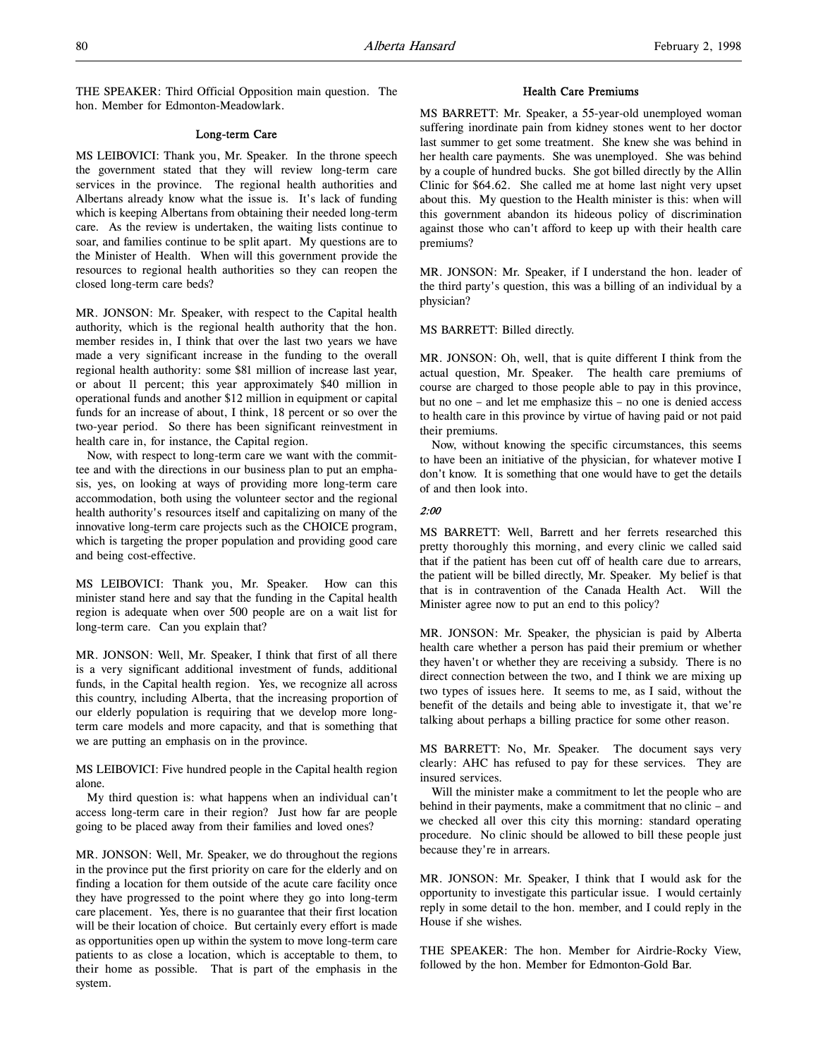THE SPEAKER: Third Official Opposition main question. The hon. Member for Edmonton-Meadowlark.

## Long-term Care

MS LEIBOVICI: Thank you, Mr. Speaker. In the throne speech the government stated that they will review long-term care services in the province. The regional health authorities and Albertans already know what the issue is. It's lack of funding which is keeping Albertans from obtaining their needed long-term care. As the review is undertaken, the waiting lists continue to soar, and families continue to be split apart. My questions are to the Minister of Health. When will this government provide the resources to regional health authorities so they can reopen the closed long-term care beds?

MR. JONSON: Mr. Speaker, with respect to the Capital health authority, which is the regional health authority that the hon. member resides in, I think that over the last two years we have made a very significant increase in the funding to the overall regional health authority: some \$81 million of increase last year, or about 11 percent; this year approximately \$40 million in operational funds and another \$12 million in equipment or capital funds for an increase of about, I think, 18 percent or so over the two-year period. So there has been significant reinvestment in health care in, for instance, the Capital region.

Now, with respect to long-term care we want with the committee and with the directions in our business plan to put an emphasis, yes, on looking at ways of providing more long-term care accommodation, both using the volunteer sector and the regional health authority's resources itself and capitalizing on many of the innovative long-term care projects such as the CHOICE program, which is targeting the proper population and providing good care and being cost-effective.

MS LEIBOVICI: Thank you, Mr. Speaker. How can this minister stand here and say that the funding in the Capital health region is adequate when over 500 people are on a wait list for long-term care. Can you explain that?

MR. JONSON: Well, Mr. Speaker, I think that first of all there is a very significant additional investment of funds, additional funds, in the Capital health region. Yes, we recognize all across this country, including Alberta, that the increasing proportion of our elderly population is requiring that we develop more longterm care models and more capacity, and that is something that we are putting an emphasis on in the province.

MS LEIBOVICI: Five hundred people in the Capital health region alone.

My third question is: what happens when an individual can't access long-term care in their region? Just how far are people going to be placed away from their families and loved ones?

MR. JONSON: Well, Mr. Speaker, we do throughout the regions in the province put the first priority on care for the elderly and on finding a location for them outside of the acute care facility once they have progressed to the point where they go into long-term care placement. Yes, there is no guarantee that their first location will be their location of choice. But certainly every effort is made as opportunities open up within the system to move long-term care patients to as close a location, which is acceptable to them, to their home as possible. That is part of the emphasis in the system.

### Health Care Premiums

MS BARRETT: Mr. Speaker, a 55-year-old unemployed woman suffering inordinate pain from kidney stones went to her doctor last summer to get some treatment. She knew she was behind in her health care payments. She was unemployed. She was behind by a couple of hundred bucks. She got billed directly by the Allin Clinic for \$64.62. She called me at home last night very upset about this. My question to the Health minister is this: when will this government abandon its hideous policy of discrimination against those who can't afford to keep up with their health care premiums?

MR. JONSON: Mr. Speaker, if I understand the hon. leader of the third party's question, this was a billing of an individual by a physician?

MS BARRETT: Billed directly.

MR. JONSON: Oh, well, that is quite different I think from the actual question, Mr. Speaker. The health care premiums of course are charged to those people able to pay in this province, but no one – and let me emphasize this – no one is denied access to health care in this province by virtue of having paid or not paid their premiums.

Now, without knowing the specific circumstances, this seems to have been an initiative of the physician, for whatever motive I don't know. It is something that one would have to get the details of and then look into.

## 2:00

MS BARRETT: Well, Barrett and her ferrets researched this pretty thoroughly this morning, and every clinic we called said that if the patient has been cut off of health care due to arrears, the patient will be billed directly, Mr. Speaker. My belief is that that is in contravention of the Canada Health Act. Will the Minister agree now to put an end to this policy?

MR. JONSON: Mr. Speaker, the physician is paid by Alberta health care whether a person has paid their premium or whether they haven't or whether they are receiving a subsidy. There is no direct connection between the two, and I think we are mixing up two types of issues here. It seems to me, as I said, without the benefit of the details and being able to investigate it, that we're talking about perhaps a billing practice for some other reason.

MS BARRETT: No, Mr. Speaker. The document says very clearly: AHC has refused to pay for these services. They are insured services.

Will the minister make a commitment to let the people who are behind in their payments, make a commitment that no clinic – and we checked all over this city this morning: standard operating procedure. No clinic should be allowed to bill these people just because they're in arrears.

MR. JONSON: Mr. Speaker, I think that I would ask for the opportunity to investigate this particular issue. I would certainly reply in some detail to the hon. member, and I could reply in the House if she wishes.

THE SPEAKER: The hon. Member for Airdrie-Rocky View, followed by the hon. Member for Edmonton-Gold Bar.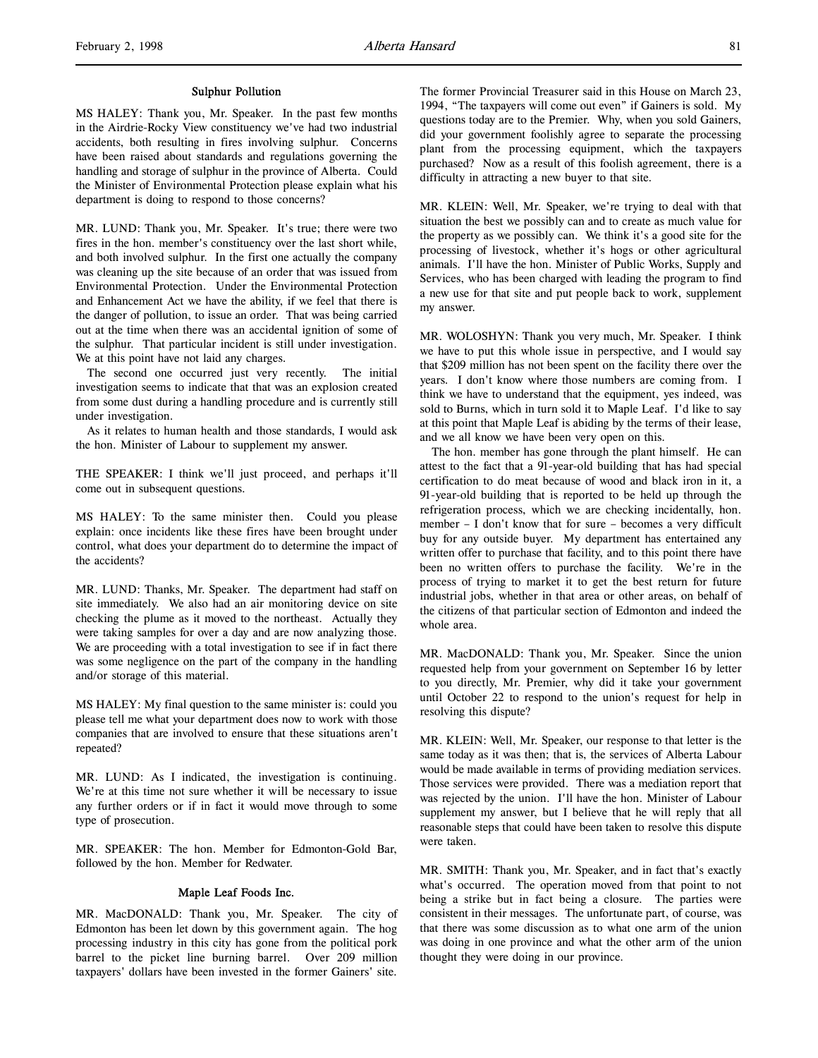#### Sulphur Pollution

MS HALEY: Thank you, Mr. Speaker. In the past few months in the Airdrie-Rocky View constituency we've had two industrial accidents, both resulting in fires involving sulphur. Concerns have been raised about standards and regulations governing the handling and storage of sulphur in the province of Alberta. Could the Minister of Environmental Protection please explain what his department is doing to respond to those concerns?

MR. LUND: Thank you, Mr. Speaker. It's true; there were two fires in the hon. member's constituency over the last short while, and both involved sulphur. In the first one actually the company was cleaning up the site because of an order that was issued from Environmental Protection. Under the Environmental Protection and Enhancement Act we have the ability, if we feel that there is the danger of pollution, to issue an order. That was being carried out at the time when there was an accidental ignition of some of the sulphur. That particular incident is still under investigation. We at this point have not laid any charges.

The second one occurred just very recently. The initial investigation seems to indicate that that was an explosion created from some dust during a handling procedure and is currently still under investigation.

As it relates to human health and those standards, I would ask the hon. Minister of Labour to supplement my answer.

THE SPEAKER: I think we'll just proceed, and perhaps it'll come out in subsequent questions.

MS HALEY: To the same minister then. Could you please explain: once incidents like these fires have been brought under control, what does your department do to determine the impact of the accidents?

MR. LUND: Thanks, Mr. Speaker. The department had staff on site immediately. We also had an air monitoring device on site checking the plume as it moved to the northeast. Actually they were taking samples for over a day and are now analyzing those. We are proceeding with a total investigation to see if in fact there was some negligence on the part of the company in the handling and/or storage of this material.

MS HALEY: My final question to the same minister is: could you please tell me what your department does now to work with those companies that are involved to ensure that these situations aren't repeated?

MR. LUND: As I indicated, the investigation is continuing. We're at this time not sure whether it will be necessary to issue any further orders or if in fact it would move through to some type of prosecution.

MR. SPEAKER: The hon. Member for Edmonton-Gold Bar, followed by the hon. Member for Redwater.

### Maple Leaf Foods Inc.

MR. MacDONALD: Thank you, Mr. Speaker. The city of Edmonton has been let down by this government again. The hog processing industry in this city has gone from the political pork barrel to the picket line burning barrel. Over 209 million taxpayers' dollars have been invested in the former Gainers' site.

The former Provincial Treasurer said in this House on March 23, 1994, "The taxpayers will come out even" if Gainers is sold. My questions today are to the Premier. Why, when you sold Gainers, did your government foolishly agree to separate the processing plant from the processing equipment, which the taxpayers purchased? Now as a result of this foolish agreement, there is a difficulty in attracting a new buyer to that site.

MR. KLEIN: Well, Mr. Speaker, we're trying to deal with that situation the best we possibly can and to create as much value for the property as we possibly can. We think it's a good site for the processing of livestock, whether it's hogs or other agricultural animals. I'll have the hon. Minister of Public Works, Supply and Services, who has been charged with leading the program to find a new use for that site and put people back to work, supplement my answer.

MR. WOLOSHYN: Thank you very much, Mr. Speaker. I think we have to put this whole issue in perspective, and I would say that \$209 million has not been spent on the facility there over the years. I don't know where those numbers are coming from. I think we have to understand that the equipment, yes indeed, was sold to Burns, which in turn sold it to Maple Leaf. I'd like to say at this point that Maple Leaf is abiding by the terms of their lease, and we all know we have been very open on this.

The hon. member has gone through the plant himself. He can attest to the fact that a 91-year-old building that has had special certification to do meat because of wood and black iron in it, a 91-year-old building that is reported to be held up through the refrigeration process, which we are checking incidentally, hon. member – I don't know that for sure – becomes a very difficult buy for any outside buyer. My department has entertained any written offer to purchase that facility, and to this point there have been no written offers to purchase the facility. We're in the process of trying to market it to get the best return for future industrial jobs, whether in that area or other areas, on behalf of the citizens of that particular section of Edmonton and indeed the whole area.

MR. MacDONALD: Thank you, Mr. Speaker. Since the union requested help from your government on September 16 by letter to you directly, Mr. Premier, why did it take your government until October 22 to respond to the union's request for help in resolving this dispute?

MR. KLEIN: Well, Mr. Speaker, our response to that letter is the same today as it was then; that is, the services of Alberta Labour would be made available in terms of providing mediation services. Those services were provided. There was a mediation report that was rejected by the union. I'll have the hon. Minister of Labour supplement my answer, but I believe that he will reply that all reasonable steps that could have been taken to resolve this dispute were taken.

MR. SMITH: Thank you, Mr. Speaker, and in fact that's exactly what's occurred. The operation moved from that point to not being a strike but in fact being a closure. The parties were consistent in their messages. The unfortunate part, of course, was that there was some discussion as to what one arm of the union was doing in one province and what the other arm of the union thought they were doing in our province.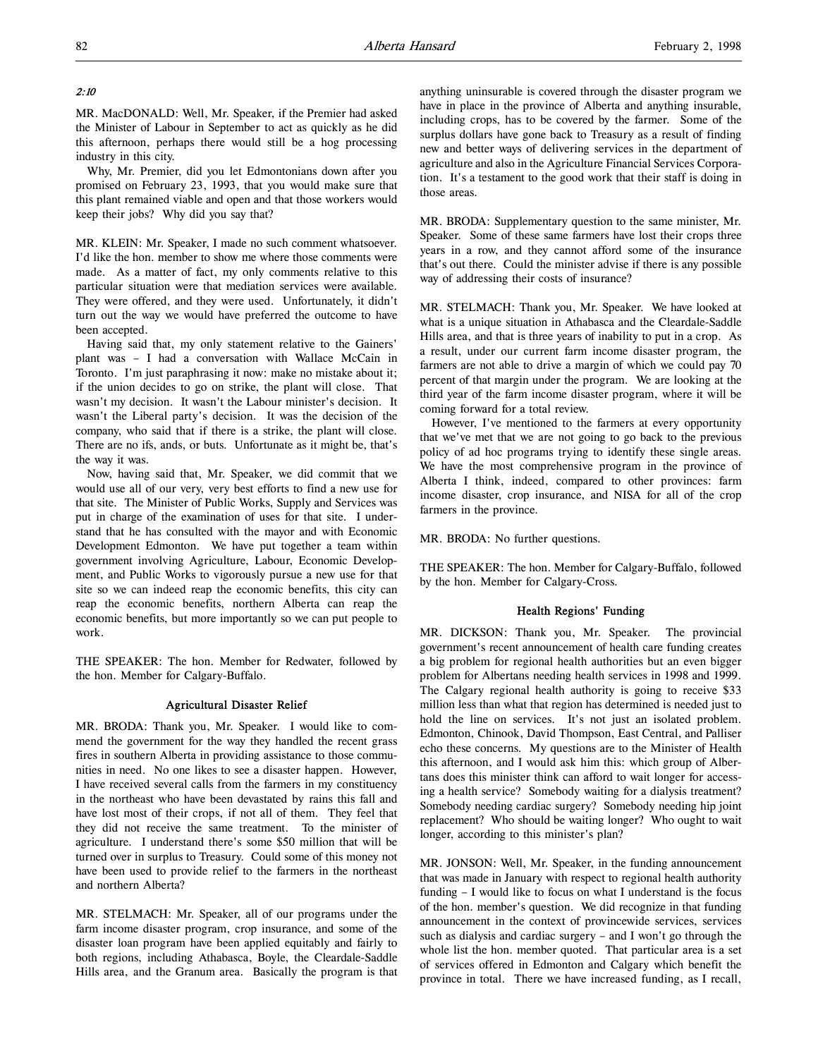# 2:10

MR. MacDONALD: Well, Mr. Speaker, if the Premier had asked the Minister of Labour in September to act as quickly as he did this afternoon, perhaps there would still be a hog processing industry in this city.

Why, Mr. Premier, did you let Edmontonians down after you promised on February 23, 1993, that you would make sure that this plant remained viable and open and that those workers would keep their jobs? Why did you say that?

MR. KLEIN: Mr. Speaker, I made no such comment whatsoever. I'd like the hon. member to show me where those comments were made. As a matter of fact, my only comments relative to this particular situation were that mediation services were available. They were offered, and they were used. Unfortunately, it didn't turn out the way we would have preferred the outcome to have been accepted.

Having said that, my only statement relative to the Gainers' plant was – I had a conversation with Wallace McCain in Toronto. I'm just paraphrasing it now: make no mistake about it; if the union decides to go on strike, the plant will close. That wasn't my decision. It wasn't the Labour minister's decision. It wasn't the Liberal party's decision. It was the decision of the company, who said that if there is a strike, the plant will close. There are no ifs, ands, or buts. Unfortunate as it might be, that's the way it was.

Now, having said that, Mr. Speaker, we did commit that we would use all of our very, very best efforts to find a new use for that site. The Minister of Public Works, Supply and Services was put in charge of the examination of uses for that site. I understand that he has consulted with the mayor and with Economic Development Edmonton. We have put together a team within government involving Agriculture, Labour, Economic Development, and Public Works to vigorously pursue a new use for that site so we can indeed reap the economic benefits, this city can reap the economic benefits, northern Alberta can reap the economic benefits, but more importantly so we can put people to work.

THE SPEAKER: The hon. Member for Redwater, followed by the hon. Member for Calgary-Buffalo.

## Agricultural Disaster Relief

MR. BRODA: Thank you, Mr. Speaker. I would like to commend the government for the way they handled the recent grass fires in southern Alberta in providing assistance to those communities in need. No one likes to see a disaster happen. However, I have received several calls from the farmers in my constituency in the northeast who have been devastated by rains this fall and have lost most of their crops, if not all of them. They feel that they did not receive the same treatment. To the minister of agriculture. I understand there's some \$50 million that will be turned over in surplus to Treasury. Could some of this money not have been used to provide relief to the farmers in the northeast and northern Alberta?

MR. STELMACH: Mr. Speaker, all of our programs under the farm income disaster program, crop insurance, and some of the disaster loan program have been applied equitably and fairly to both regions, including Athabasca, Boyle, the Cleardale-Saddle Hills area, and the Granum area. Basically the program is that anything uninsurable is covered through the disaster program we have in place in the province of Alberta and anything insurable, including crops, has to be covered by the farmer. Some of the surplus dollars have gone back to Treasury as a result of finding new and better ways of delivering services in the department of agriculture and also in the Agriculture Financial Services Corporation. It's a testament to the good work that their staff is doing in those areas.

MR. BRODA: Supplementary question to the same minister, Mr. Speaker. Some of these same farmers have lost their crops three years in a row, and they cannot afford some of the insurance that's out there. Could the minister advise if there is any possible way of addressing their costs of insurance?

MR. STELMACH: Thank you, Mr. Speaker. We have looked at what is a unique situation in Athabasca and the Cleardale-Saddle Hills area, and that is three years of inability to put in a crop. As a result, under our current farm income disaster program, the farmers are not able to drive a margin of which we could pay 70 percent of that margin under the program. We are looking at the third year of the farm income disaster program, where it will be coming forward for a total review.

However, I've mentioned to the farmers at every opportunity that we've met that we are not going to go back to the previous policy of ad hoc programs trying to identify these single areas. We have the most comprehensive program in the province of Alberta I think, indeed, compared to other provinces: farm income disaster, crop insurance, and NISA for all of the crop farmers in the province.

MR. BRODA: No further questions.

THE SPEAKER: The hon. Member for Calgary-Buffalo, followed by the hon. Member for Calgary-Cross.

## Health Regions' Funding

MR. DICKSON: Thank you, Mr. Speaker. The provincial government's recent announcement of health care funding creates a big problem for regional health authorities but an even bigger problem for Albertans needing health services in 1998 and 1999. The Calgary regional health authority is going to receive \$33 million less than what that region has determined is needed just to hold the line on services. It's not just an isolated problem. Edmonton, Chinook, David Thompson, East Central, and Palliser echo these concerns. My questions are to the Minister of Health this afternoon, and I would ask him this: which group of Albertans does this minister think can afford to wait longer for accessing a health service? Somebody waiting for a dialysis treatment? Somebody needing cardiac surgery? Somebody needing hip joint replacement? Who should be waiting longer? Who ought to wait longer, according to this minister's plan?

MR. JONSON: Well, Mr. Speaker, in the funding announcement that was made in January with respect to regional health authority funding – I would like to focus on what I understand is the focus of the hon. member's question. We did recognize in that funding announcement in the context of provincewide services, services such as dialysis and cardiac surgery – and I won't go through the whole list the hon. member quoted. That particular area is a set of services offered in Edmonton and Calgary which benefit the province in total. There we have increased funding, as I recall,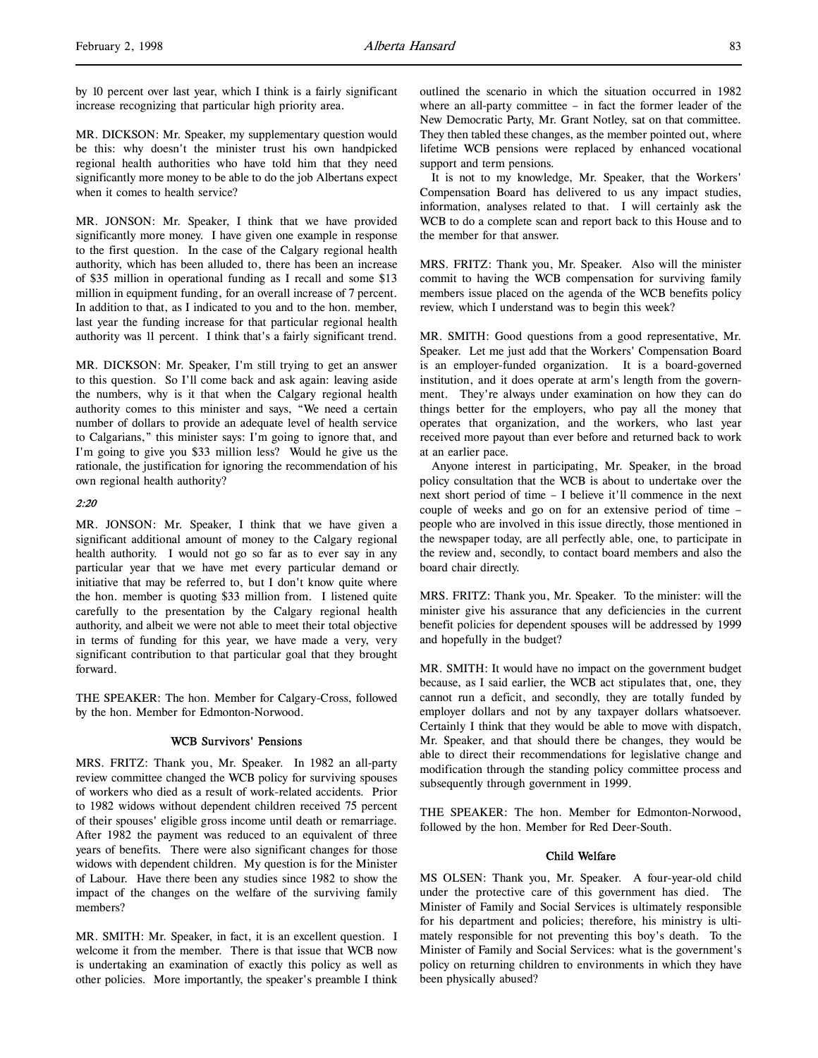by 10 percent over last year, which I think is a fairly significant increase recognizing that particular high priority area.

MR. DICKSON: Mr. Speaker, my supplementary question would be this: why doesn't the minister trust his own handpicked regional health authorities who have told him that they need significantly more money to be able to do the job Albertans expect when it comes to health service?

MR. JONSON: Mr. Speaker, I think that we have provided significantly more money. I have given one example in response to the first question. In the case of the Calgary regional health authority, which has been alluded to, there has been an increase of \$35 million in operational funding as I recall and some \$13 million in equipment funding, for an overall increase of 7 percent. In addition to that, as I indicated to you and to the hon. member, last year the funding increase for that particular regional health authority was 11 percent. I think that's a fairly significant trend.

MR. DICKSON: Mr. Speaker, I'm still trying to get an answer to this question. So I'll come back and ask again: leaving aside the numbers, why is it that when the Calgary regional health authority comes to this minister and says, "We need a certain number of dollars to provide an adequate level of health service to Calgarians," this minister says: I'm going to ignore that, and I'm going to give you \$33 million less? Would he give us the rationale, the justification for ignoring the recommendation of his own regional health authority?

## 2:20

MR. JONSON: Mr. Speaker, I think that we have given a significant additional amount of money to the Calgary regional health authority. I would not go so far as to ever say in any particular year that we have met every particular demand or initiative that may be referred to, but I don't know quite where the hon. member is quoting \$33 million from. I listened quite carefully to the presentation by the Calgary regional health authority, and albeit we were not able to meet their total objective in terms of funding for this year, we have made a very, very significant contribution to that particular goal that they brought forward.

THE SPEAKER: The hon. Member for Calgary-Cross, followed by the hon. Member for Edmonton-Norwood.

# WCB Survivors' Pensions

MRS. FRITZ: Thank you, Mr. Speaker. In 1982 an all-party review committee changed the WCB policy for surviving spouses of workers who died as a result of work-related accidents. Prior to 1982 widows without dependent children received 75 percent of their spouses' eligible gross income until death or remarriage. After 1982 the payment was reduced to an equivalent of three years of benefits. There were also significant changes for those widows with dependent children. My question is for the Minister of Labour. Have there been any studies since 1982 to show the impact of the changes on the welfare of the surviving family members?

MR. SMITH: Mr. Speaker, in fact, it is an excellent question. I welcome it from the member. There is that issue that WCB now is undertaking an examination of exactly this policy as well as other policies. More importantly, the speaker's preamble I think

outlined the scenario in which the situation occurred in 1982 where an all-party committee – in fact the former leader of the New Democratic Party, Mr. Grant Notley, sat on that committee. They then tabled these changes, as the member pointed out, where lifetime WCB pensions were replaced by enhanced vocational support and term pensions.

It is not to my knowledge, Mr. Speaker, that the Workers' Compensation Board has delivered to us any impact studies, information, analyses related to that. I will certainly ask the WCB to do a complete scan and report back to this House and to the member for that answer.

MRS. FRITZ: Thank you, Mr. Speaker. Also will the minister commit to having the WCB compensation for surviving family members issue placed on the agenda of the WCB benefits policy review, which I understand was to begin this week?

MR. SMITH: Good questions from a good representative, Mr. Speaker. Let me just add that the Workers' Compensation Board is an employer-funded organization. It is a board-governed institution, and it does operate at arm's length from the government. They're always under examination on how they can do things better for the employers, who pay all the money that operates that organization, and the workers, who last year received more payout than ever before and returned back to work at an earlier pace.

Anyone interest in participating, Mr. Speaker, in the broad policy consultation that the WCB is about to undertake over the next short period of time – I believe it'll commence in the next couple of weeks and go on for an extensive period of time – people who are involved in this issue directly, those mentioned in the newspaper today, are all perfectly able, one, to participate in the review and, secondly, to contact board members and also the board chair directly.

MRS. FRITZ: Thank you, Mr. Speaker. To the minister: will the minister give his assurance that any deficiencies in the current benefit policies for dependent spouses will be addressed by 1999 and hopefully in the budget?

MR. SMITH: It would have no impact on the government budget because, as I said earlier, the WCB act stipulates that, one, they cannot run a deficit, and secondly, they are totally funded by employer dollars and not by any taxpayer dollars whatsoever. Certainly I think that they would be able to move with dispatch, Mr. Speaker, and that should there be changes, they would be able to direct their recommendations for legislative change and modification through the standing policy committee process and subsequently through government in 1999.

THE SPEAKER: The hon. Member for Edmonton-Norwood, followed by the hon. Member for Red Deer-South.

# Child Welfare

MS OLSEN: Thank you, Mr. Speaker. A four-year-old child under the protective care of this government has died. The Minister of Family and Social Services is ultimately responsible for his department and policies; therefore, his ministry is ultimately responsible for not preventing this boy's death. To the Minister of Family and Social Services: what is the government's policy on returning children to environments in which they have been physically abused?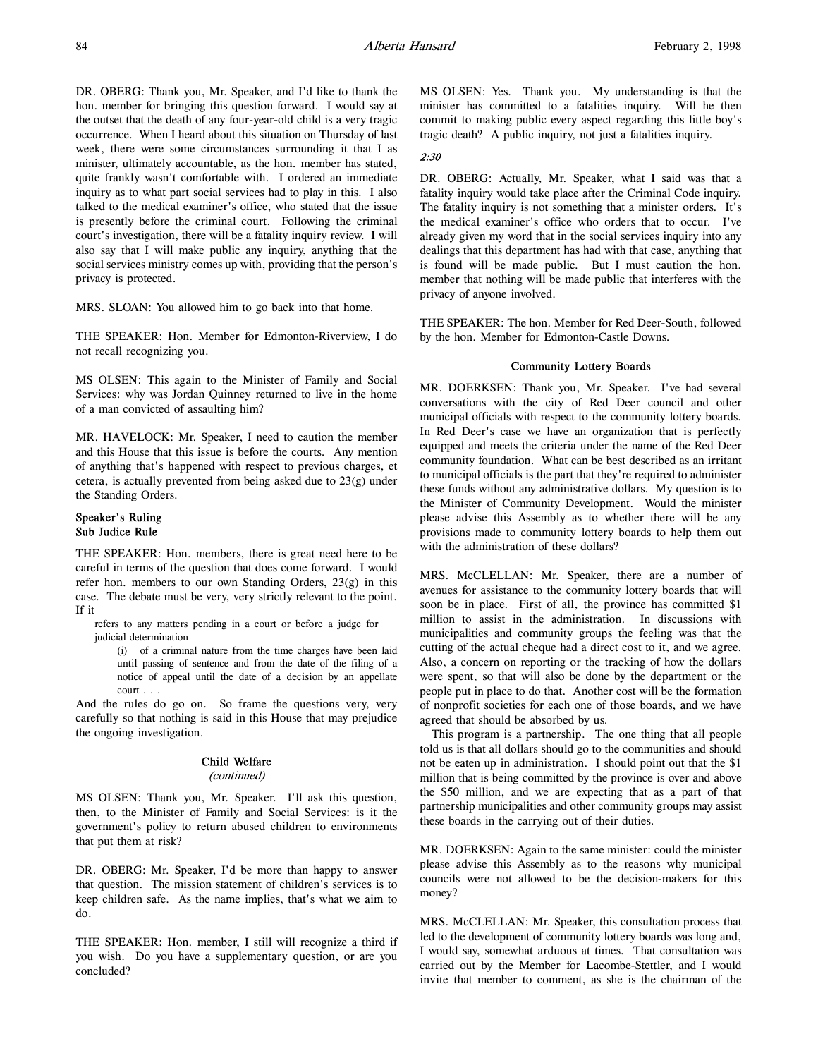DR. OBERG: Thank you, Mr. Speaker, and I'd like to thank the hon. member for bringing this question forward. I would say at the outset that the death of any four-year-old child is a very tragic occurrence. When I heard about this situation on Thursday of last week, there were some circumstances surrounding it that I as minister, ultimately accountable, as the hon. member has stated, quite frankly wasn't comfortable with. I ordered an immediate inquiry as to what part social services had to play in this. I also talked to the medical examiner's office, who stated that the issue is presently before the criminal court. Following the criminal court's investigation, there will be a fatality inquiry review. I will also say that I will make public any inquiry, anything that the social services ministry comes up with, providing that the person's privacy is protected.

MRS. SLOAN: You allowed him to go back into that home.

THE SPEAKER: Hon. Member for Edmonton-Riverview, I do not recall recognizing you.

MS OLSEN: This again to the Minister of Family and Social Services: why was Jordan Quinney returned to live in the home of a man convicted of assaulting him?

MR. HAVELOCK: Mr. Speaker, I need to caution the member and this House that this issue is before the courts. Any mention of anything that's happened with respect to previous charges, et cetera, is actually prevented from being asked due to 23(g) under the Standing Orders.

# Speaker's Ruling Sub Judice Rule

THE SPEAKER: Hon. members, there is great need here to be careful in terms of the question that does come forward. I would refer hon. members to our own Standing Orders,  $23(g)$  in this case. The debate must be very, very strictly relevant to the point. If it

refers to any matters pending in a court or before a judge for judicial determination

(i) of a criminal nature from the time charges have been laid until passing of sentence and from the date of the filing of a notice of appeal until the date of a decision by an appellate court . . .

And the rules do go on. So frame the questions very, very carefully so that nothing is said in this House that may prejudice the ongoing investigation.

### Child Welfare

#### (continued)

MS OLSEN: Thank you, Mr. Speaker. I'll ask this question, then, to the Minister of Family and Social Services: is it the government's policy to return abused children to environments that put them at risk?

DR. OBERG: Mr. Speaker, I'd be more than happy to answer that question. The mission statement of children's services is to keep children safe. As the name implies, that's what we aim to do.

THE SPEAKER: Hon. member, I still will recognize a third if you wish. Do you have a supplementary question, or are you concluded?

MS OLSEN: Yes. Thank you. My understanding is that the minister has committed to a fatalities inquiry. Will he then commit to making public every aspect regarding this little boy's tragic death? A public inquiry, not just a fatalities inquiry.

# 2:30

DR. OBERG: Actually, Mr. Speaker, what I said was that a fatality inquiry would take place after the Criminal Code inquiry. The fatality inquiry is not something that a minister orders. It's the medical examiner's office who orders that to occur. I've already given my word that in the social services inquiry into any dealings that this department has had with that case, anything that is found will be made public. But I must caution the hon. member that nothing will be made public that interferes with the privacy of anyone involved.

THE SPEAKER: The hon. Member for Red Deer-South, followed by the hon. Member for Edmonton-Castle Downs.

### Community Lottery Boards

MR. DOERKSEN: Thank you, Mr. Speaker. I've had several conversations with the city of Red Deer council and other municipal officials with respect to the community lottery boards. In Red Deer's case we have an organization that is perfectly equipped and meets the criteria under the name of the Red Deer community foundation. What can be best described as an irritant to municipal officials is the part that they're required to administer these funds without any administrative dollars. My question is to the Minister of Community Development. Would the minister please advise this Assembly as to whether there will be any provisions made to community lottery boards to help them out with the administration of these dollars?

MRS. McCLELLAN: Mr. Speaker, there are a number of avenues for assistance to the community lottery boards that will soon be in place. First of all, the province has committed \$1 million to assist in the administration. In discussions with municipalities and community groups the feeling was that the cutting of the actual cheque had a direct cost to it, and we agree. Also, a concern on reporting or the tracking of how the dollars were spent, so that will also be done by the department or the people put in place to do that. Another cost will be the formation of nonprofit societies for each one of those boards, and we have agreed that should be absorbed by us.

This program is a partnership. The one thing that all people told us is that all dollars should go to the communities and should not be eaten up in administration. I should point out that the \$1 million that is being committed by the province is over and above the \$50 million, and we are expecting that as a part of that partnership municipalities and other community groups may assist these boards in the carrying out of their duties.

MR. DOERKSEN: Again to the same minister: could the minister please advise this Assembly as to the reasons why municipal councils were not allowed to be the decision-makers for this money?

MRS. McCLELLAN: Mr. Speaker, this consultation process that led to the development of community lottery boards was long and, I would say, somewhat arduous at times. That consultation was carried out by the Member for Lacombe-Stettler, and I would invite that member to comment, as she is the chairman of the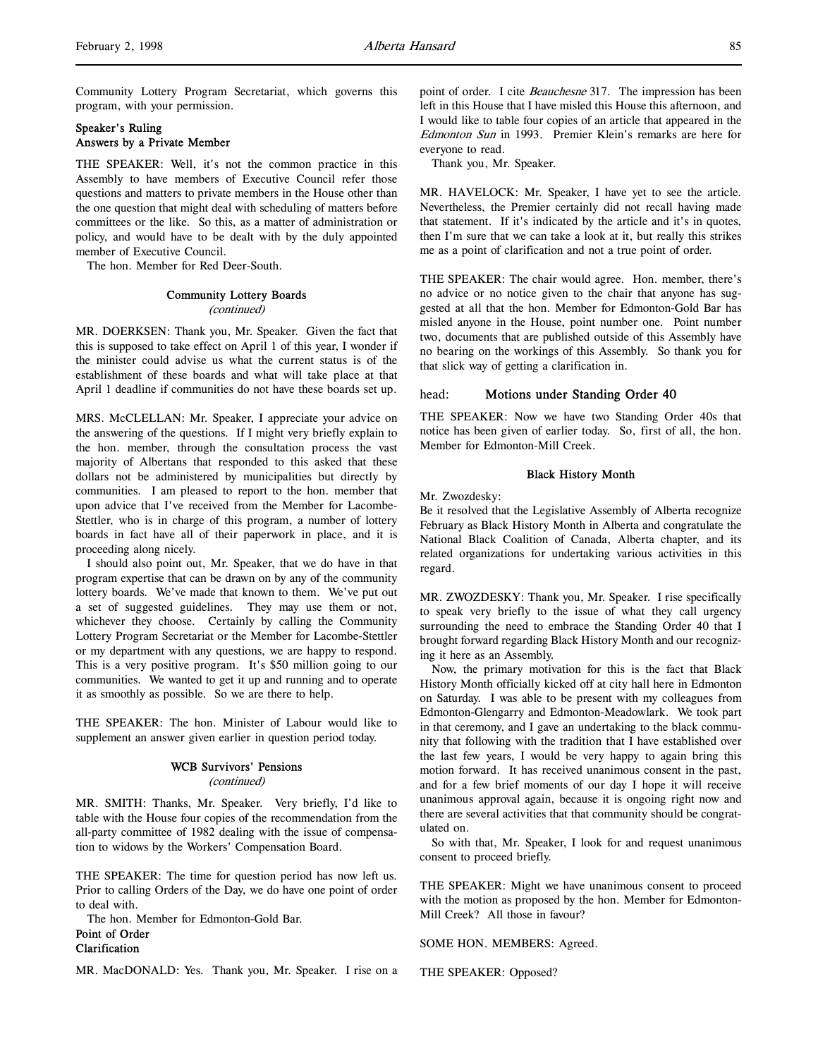# Community Lottery Program Secretariat, which governs this program, with your permission.

# Speaker's Ruling Answers by a Private Member

THE SPEAKER: Well, it's not the common practice in this Assembly to have members of Executive Council refer those questions and matters to private members in the House other than the one question that might deal with scheduling of matters before committees or the like. So this, as a matter of administration or policy, and would have to be dealt with by the duly appointed member of Executive Council.

The hon. Member for Red Deer-South.

## Community Lottery Boards

(continued)

MR. DOERKSEN: Thank you, Mr. Speaker. Given the fact that this is supposed to take effect on April 1 of this year, I wonder if the minister could advise us what the current status is of the establishment of these boards and what will take place at that April 1 deadline if communities do not have these boards set up.

MRS. McCLELLAN: Mr. Speaker, I appreciate your advice on the answering of the questions. If I might very briefly explain to the hon. member, through the consultation process the vast majority of Albertans that responded to this asked that these dollars not be administered by municipalities but directly by communities. I am pleased to report to the hon. member that upon advice that I've received from the Member for Lacombe-Stettler, who is in charge of this program, a number of lottery boards in fact have all of their paperwork in place, and it is proceeding along nicely.

I should also point out, Mr. Speaker, that we do have in that program expertise that can be drawn on by any of the community lottery boards. We've made that known to them. We've put out a set of suggested guidelines. They may use them or not, whichever they choose. Certainly by calling the Community Lottery Program Secretariat or the Member for Lacombe-Stettler or my department with any questions, we are happy to respond. This is a very positive program. It's \$50 million going to our communities. We wanted to get it up and running and to operate it as smoothly as possible. So we are there to help.

THE SPEAKER: The hon. Minister of Labour would like to supplement an answer given earlier in question period today.

# WCB Survivors' Pensions

(continued)

MR. SMITH: Thanks, Mr. Speaker. Very briefly, I'd like to table with the House four copies of the recommendation from the all-party committee of 1982 dealing with the issue of compensation to widows by the Workers' Compensation Board.

THE SPEAKER: The time for question period has now left us. Prior to calling Orders of the Day, we do have one point of order to deal with.

The hon. Member for Edmonton-Gold Bar.

# Point of Order Clarification

MR. MacDONALD: Yes. Thank you, Mr. Speaker. I rise on a

point of order. I cite *Beauchesne* 317. The impression has been left in this House that I have misled this House this afternoon, and I would like to table four copies of an article that appeared in the Edmonton Sun in 1993. Premier Klein's remarks are here for everyone to read.

Thank you, Mr. Speaker.

MR. HAVELOCK: Mr. Speaker, I have yet to see the article. Nevertheless, the Premier certainly did not recall having made that statement. If it's indicated by the article and it's in quotes, then I'm sure that we can take a look at it, but really this strikes me as a point of clarification and not a true point of order.

THE SPEAKER: The chair would agree. Hon. member, there's no advice or no notice given to the chair that anyone has suggested at all that the hon. Member for Edmonton-Gold Bar has misled anyone in the House, point number one. Point number two, documents that are published outside of this Assembly have no bearing on the workings of this Assembly. So thank you for that slick way of getting a clarification in.

# head: Motions under Standing Order 40

THE SPEAKER: Now we have two Standing Order 40s that notice has been given of earlier today. So, first of all, the hon. Member for Edmonton-Mill Creek.

#### Black History Month

#### Mr. Zwozdesky:

Be it resolved that the Legislative Assembly of Alberta recognize February as Black History Month in Alberta and congratulate the National Black Coalition of Canada, Alberta chapter, and its related organizations for undertaking various activities in this regard.

MR. ZWOZDESKY: Thank you, Mr. Speaker. I rise specifically to speak very briefly to the issue of what they call urgency surrounding the need to embrace the Standing Order 40 that I brought forward regarding Black History Month and our recognizing it here as an Assembly.

Now, the primary motivation for this is the fact that Black History Month officially kicked off at city hall here in Edmonton on Saturday. I was able to be present with my colleagues from Edmonton-Glengarry and Edmonton-Meadowlark. We took part in that ceremony, and I gave an undertaking to the black community that following with the tradition that I have established over the last few years, I would be very happy to again bring this motion forward. It has received unanimous consent in the past, and for a few brief moments of our day I hope it will receive unanimous approval again, because it is ongoing right now and there are several activities that that community should be congratulated on.

So with that, Mr. Speaker, I look for and request unanimous consent to proceed briefly.

THE SPEAKER: Might we have unanimous consent to proceed with the motion as proposed by the hon. Member for Edmonton-Mill Creek? All those in favour?

SOME HON. MEMBERS: Agreed.

THE SPEAKER: Opposed?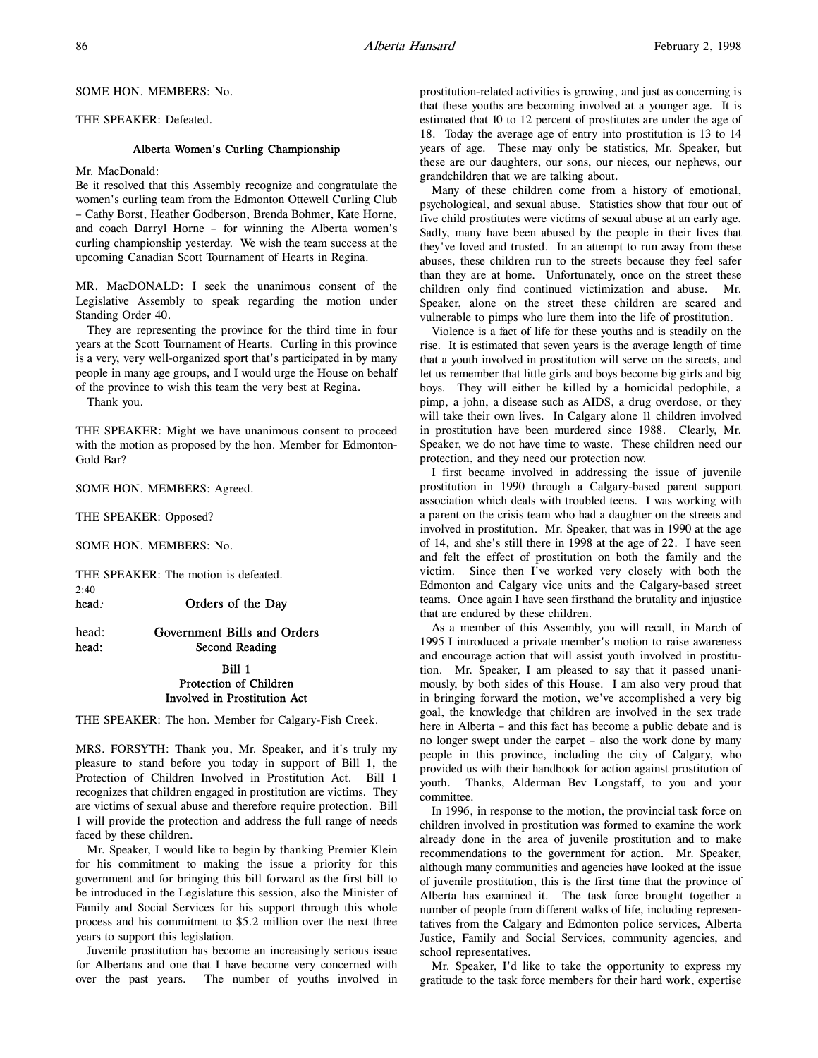SOME HON. MEMBERS: No.

THE SPEAKER: Defeated.

# Alberta Women's Curling Championship

#### Mr. MacDonald:

Be it resolved that this Assembly recognize and congratulate the women's curling team from the Edmonton Ottewell Curling Club – Cathy Borst, Heather Godberson, Brenda Bohmer, Kate Horne, and coach Darryl Horne – for winning the Alberta women's curling championship yesterday. We wish the team success at the upcoming Canadian Scott Tournament of Hearts in Regina.

MR. MacDONALD: I seek the unanimous consent of the Legislative Assembly to speak regarding the motion under Standing Order 40.

They are representing the province for the third time in four years at the Scott Tournament of Hearts. Curling in this province is a very, very well-organized sport that's participated in by many people in many age groups, and I would urge the House on behalf of the province to wish this team the very best at Regina.

Thank you.

THE SPEAKER: Might we have unanimous consent to proceed with the motion as proposed by the hon. Member for Edmonton-Gold Bar?

SOME HON. MEMBERS: Agreed.

THE SPEAKER: Opposed?

SOME HON. MEMBERS: No.

THE SPEAKER: The motion is defeated.  $2:40$ 

# head: Orders of the Day

# head: Government Bills and Orders head: Second Reading

# Bill 1 Protection of Children Involved in Prostitution Act

THE SPEAKER: The hon. Member for Calgary-Fish Creek.

MRS. FORSYTH: Thank you, Mr. Speaker, and it's truly my pleasure to stand before you today in support of Bill 1, the Protection of Children Involved in Prostitution Act. Bill 1 recognizes that children engaged in prostitution are victims. They are victims of sexual abuse and therefore require protection. Bill 1 will provide the protection and address the full range of needs faced by these children.

Mr. Speaker, I would like to begin by thanking Premier Klein for his commitment to making the issue a priority for this government and for bringing this bill forward as the first bill to be introduced in the Legislature this session, also the Minister of Family and Social Services for his support through this whole process and his commitment to \$5.2 million over the next three years to support this legislation.

Juvenile prostitution has become an increasingly serious issue for Albertans and one that I have become very concerned with over the past years. The number of youths involved in prostitution-related activities is growing, and just as concerning is that these youths are becoming involved at a younger age. It is estimated that 10 to 12 percent of prostitutes are under the age of 18. Today the average age of entry into prostitution is 13 to 14 years of age. These may only be statistics, Mr. Speaker, but these are our daughters, our sons, our nieces, our nephews, our grandchildren that we are talking about.

Many of these children come from a history of emotional, psychological, and sexual abuse. Statistics show that four out of five child prostitutes were victims of sexual abuse at an early age. Sadly, many have been abused by the people in their lives that they've loved and trusted. In an attempt to run away from these abuses, these children run to the streets because they feel safer than they are at home. Unfortunately, once on the street these children only find continued victimization and abuse. Mr. Speaker, alone on the street these children are scared and vulnerable to pimps who lure them into the life of prostitution.

Violence is a fact of life for these youths and is steadily on the rise. It is estimated that seven years is the average length of time that a youth involved in prostitution will serve on the streets, and let us remember that little girls and boys become big girls and big boys. They will either be killed by a homicidal pedophile, a pimp, a john, a disease such as AIDS, a drug overdose, or they will take their own lives. In Calgary alone 11 children involved in prostitution have been murdered since 1988. Clearly, Mr. Speaker, we do not have time to waste. These children need our protection, and they need our protection now.

I first became involved in addressing the issue of juvenile prostitution in 1990 through a Calgary-based parent support association which deals with troubled teens. I was working with a parent on the crisis team who had a daughter on the streets and involved in prostitution. Mr. Speaker, that was in 1990 at the age of 14, and she's still there in 1998 at the age of 22. I have seen and felt the effect of prostitution on both the family and the victim. Since then I've worked very closely with both the Edmonton and Calgary vice units and the Calgary-based street teams. Once again I have seen firsthand the brutality and injustice that are endured by these children.

As a member of this Assembly, you will recall, in March of 1995 I introduced a private member's motion to raise awareness and encourage action that will assist youth involved in prostitution. Mr. Speaker, I am pleased to say that it passed unanimously, by both sides of this House. I am also very proud that in bringing forward the motion, we've accomplished a very big goal, the knowledge that children are involved in the sex trade here in Alberta – and this fact has become a public debate and is no longer swept under the carpet – also the work done by many people in this province, including the city of Calgary, who provided us with their handbook for action against prostitution of youth. Thanks, Alderman Bev Longstaff, to you and your committee.

In 1996, in response to the motion, the provincial task force on children involved in prostitution was formed to examine the work already done in the area of juvenile prostitution and to make recommendations to the government for action. Mr. Speaker, although many communities and agencies have looked at the issue of juvenile prostitution, this is the first time that the province of Alberta has examined it. The task force brought together a number of people from different walks of life, including representatives from the Calgary and Edmonton police services, Alberta Justice, Family and Social Services, community agencies, and school representatives.

Mr. Speaker, I'd like to take the opportunity to express my gratitude to the task force members for their hard work, expertise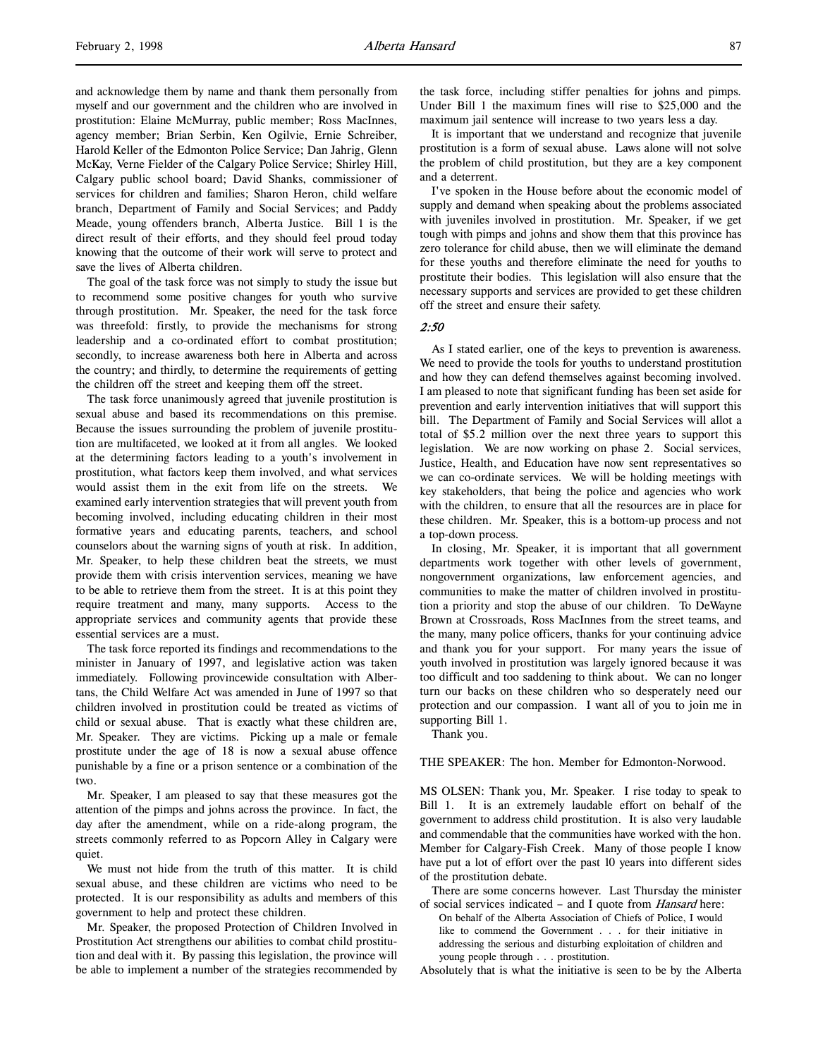and acknowledge them by name and thank them personally from myself and our government and the children who are involved in prostitution: Elaine McMurray, public member; Ross MacInnes, agency member; Brian Serbin, Ken Ogilvie, Ernie Schreiber, Harold Keller of the Edmonton Police Service; Dan Jahrig, Glenn McKay, Verne Fielder of the Calgary Police Service; Shirley Hill, Calgary public school board; David Shanks, commissioner of services for children and families; Sharon Heron, child welfare branch, Department of Family and Social Services; and Paddy Meade, young offenders branch, Alberta Justice. Bill 1 is the direct result of their efforts, and they should feel proud today knowing that the outcome of their work will serve to protect and save the lives of Alberta children.

The goal of the task force was not simply to study the issue but to recommend some positive changes for youth who survive through prostitution. Mr. Speaker, the need for the task force was threefold: firstly, to provide the mechanisms for strong leadership and a co-ordinated effort to combat prostitution; secondly, to increase awareness both here in Alberta and across the country; and thirdly, to determine the requirements of getting the children off the street and keeping them off the street.

The task force unanimously agreed that juvenile prostitution is sexual abuse and based its recommendations on this premise. Because the issues surrounding the problem of juvenile prostitution are multifaceted, we looked at it from all angles. We looked at the determining factors leading to a youth's involvement in prostitution, what factors keep them involved, and what services would assist them in the exit from life on the streets. We examined early intervention strategies that will prevent youth from becoming involved, including educating children in their most formative years and educating parents, teachers, and school counselors about the warning signs of youth at risk. In addition, Mr. Speaker, to help these children beat the streets, we must provide them with crisis intervention services, meaning we have to be able to retrieve them from the street. It is at this point they require treatment and many, many supports. Access to the appropriate services and community agents that provide these essential services are a must.

The task force reported its findings and recommendations to the minister in January of 1997, and legislative action was taken immediately. Following provincewide consultation with Albertans, the Child Welfare Act was amended in June of 1997 so that children involved in prostitution could be treated as victims of child or sexual abuse. That is exactly what these children are, Mr. Speaker. They are victims. Picking up a male or female prostitute under the age of 18 is now a sexual abuse offence punishable by a fine or a prison sentence or a combination of the two.

Mr. Speaker, I am pleased to say that these measures got the attention of the pimps and johns across the province. In fact, the day after the amendment, while on a ride-along program, the streets commonly referred to as Popcorn Alley in Calgary were quiet.

We must not hide from the truth of this matter. It is child sexual abuse, and these children are victims who need to be protected. It is our responsibility as adults and members of this government to help and protect these children.

Mr. Speaker, the proposed Protection of Children Involved in Prostitution Act strengthens our abilities to combat child prostitution and deal with it. By passing this legislation, the province will be able to implement a number of the strategies recommended by

the task force, including stiffer penalties for johns and pimps. Under Bill 1 the maximum fines will rise to \$25,000 and the maximum jail sentence will increase to two years less a day.

It is important that we understand and recognize that juvenile prostitution is a form of sexual abuse. Laws alone will not solve the problem of child prostitution, but they are a key component and a deterrent.

I've spoken in the House before about the economic model of supply and demand when speaking about the problems associated with juveniles involved in prostitution. Mr. Speaker, if we get tough with pimps and johns and show them that this province has zero tolerance for child abuse, then we will eliminate the demand for these youths and therefore eliminate the need for youths to prostitute their bodies. This legislation will also ensure that the necessary supports and services are provided to get these children off the street and ensure their safety.

#### 2:50

As I stated earlier, one of the keys to prevention is awareness. We need to provide the tools for youths to understand prostitution and how they can defend themselves against becoming involved. I am pleased to note that significant funding has been set aside for prevention and early intervention initiatives that will support this bill. The Department of Family and Social Services will allot a total of \$5.2 million over the next three years to support this legislation. We are now working on phase 2. Social services, Justice, Health, and Education have now sent representatives so we can co-ordinate services. We will be holding meetings with key stakeholders, that being the police and agencies who work with the children, to ensure that all the resources are in place for these children. Mr. Speaker, this is a bottom-up process and not a top-down process.

In closing, Mr. Speaker, it is important that all government departments work together with other levels of government, nongovernment organizations, law enforcement agencies, and communities to make the matter of children involved in prostitution a priority and stop the abuse of our children. To DeWayne Brown at Crossroads, Ross MacInnes from the street teams, and the many, many police officers, thanks for your continuing advice and thank you for your support. For many years the issue of youth involved in prostitution was largely ignored because it was too difficult and too saddening to think about. We can no longer turn our backs on these children who so desperately need our protection and our compassion. I want all of you to join me in supporting Bill 1.

Thank you.

THE SPEAKER: The hon. Member for Edmonton-Norwood.

MS OLSEN: Thank you, Mr. Speaker. I rise today to speak to Bill 1. It is an extremely laudable effort on behalf of the government to address child prostitution. It is also very laudable and commendable that the communities have worked with the hon. Member for Calgary-Fish Creek. Many of those people I know have put a lot of effort over the past 10 years into different sides of the prostitution debate.

There are some concerns however. Last Thursday the minister of social services indicated – and I quote from Hansard here:

On behalf of the Alberta Association of Chiefs of Police, I would like to commend the Government . . . for their initiative in addressing the serious and disturbing exploitation of children and young people through . . . prostitution.

Absolutely that is what the initiative is seen to be by the Alberta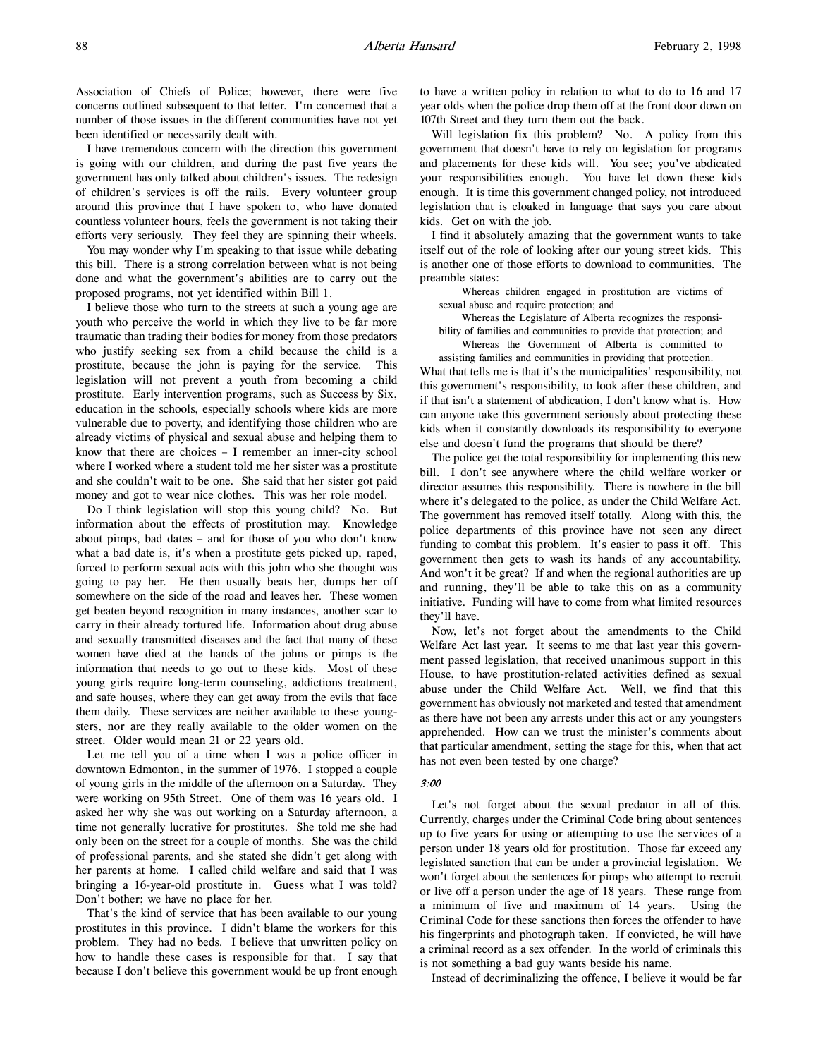Association of Chiefs of Police; however, there were five concerns outlined subsequent to that letter. I'm concerned that a number of those issues in the different communities have not yet been identified or necessarily dealt with.

I have tremendous concern with the direction this government is going with our children, and during the past five years the government has only talked about children's issues. The redesign of children's services is off the rails. Every volunteer group around this province that I have spoken to, who have donated countless volunteer hours, feels the government is not taking their efforts very seriously. They feel they are spinning their wheels.

You may wonder why I'm speaking to that issue while debating this bill. There is a strong correlation between what is not being done and what the government's abilities are to carry out the proposed programs, not yet identified within Bill 1.

I believe those who turn to the streets at such a young age are youth who perceive the world in which they live to be far more traumatic than trading their bodies for money from those predators who justify seeking sex from a child because the child is a prostitute, because the john is paying for the service. This legislation will not prevent a youth from becoming a child prostitute. Early intervention programs, such as Success by Six, education in the schools, especially schools where kids are more vulnerable due to poverty, and identifying those children who are already victims of physical and sexual abuse and helping them to know that there are choices – I remember an inner-city school where I worked where a student told me her sister was a prostitute and she couldn't wait to be one. She said that her sister got paid money and got to wear nice clothes. This was her role model.

Do I think legislation will stop this young child? No. But information about the effects of prostitution may. Knowledge about pimps, bad dates – and for those of you who don't know what a bad date is, it's when a prostitute gets picked up, raped, forced to perform sexual acts with this john who she thought was going to pay her. He then usually beats her, dumps her off somewhere on the side of the road and leaves her. These women get beaten beyond recognition in many instances, another scar to carry in their already tortured life. Information about drug abuse and sexually transmitted diseases and the fact that many of these women have died at the hands of the johns or pimps is the information that needs to go out to these kids. Most of these young girls require long-term counseling, addictions treatment, and safe houses, where they can get away from the evils that face them daily. These services are neither available to these youngsters, nor are they really available to the older women on the street. Older would mean 21 or 22 years old.

Let me tell you of a time when I was a police officer in downtown Edmonton, in the summer of 1976. I stopped a couple of young girls in the middle of the afternoon on a Saturday. They were working on 95th Street. One of them was 16 years old. I asked her why she was out working on a Saturday afternoon, a time not generally lucrative for prostitutes. She told me she had only been on the street for a couple of months. She was the child of professional parents, and she stated she didn't get along with her parents at home. I called child welfare and said that I was bringing a 16-year-old prostitute in. Guess what I was told? Don't bother; we have no place for her.

That's the kind of service that has been available to our young prostitutes in this province. I didn't blame the workers for this problem. They had no beds. I believe that unwritten policy on how to handle these cases is responsible for that. I say that because I don't believe this government would be up front enough

to have a written policy in relation to what to do to 16 and 17 year olds when the police drop them off at the front door down on 107th Street and they turn them out the back.

Will legislation fix this problem? No. A policy from this government that doesn't have to rely on legislation for programs and placements for these kids will. You see; you've abdicated your responsibilities enough. You have let down these kids enough. It is time this government changed policy, not introduced legislation that is cloaked in language that says you care about kids. Get on with the job.

I find it absolutely amazing that the government wants to take itself out of the role of looking after our young street kids. This is another one of those efforts to download to communities. The preamble states:

Whereas children engaged in prostitution are victims of sexual abuse and require protection; and

Whereas the Legislature of Alberta recognizes the responsi-

bility of families and communities to provide that protection; and Whereas the Government of Alberta is committed to

assisting families and communities in providing that protection.

What that tells me is that it's the municipalities' responsibility, not this government's responsibility, to look after these children, and if that isn't a statement of abdication, I don't know what is. How can anyone take this government seriously about protecting these kids when it constantly downloads its responsibility to everyone else and doesn't fund the programs that should be there?

The police get the total responsibility for implementing this new bill. I don't see anywhere where the child welfare worker or director assumes this responsibility. There is nowhere in the bill where it's delegated to the police, as under the Child Welfare Act. The government has removed itself totally. Along with this, the police departments of this province have not seen any direct funding to combat this problem. It's easier to pass it off. This government then gets to wash its hands of any accountability. And won't it be great? If and when the regional authorities are up and running, they'll be able to take this on as a community initiative. Funding will have to come from what limited resources they'll have.

Now, let's not forget about the amendments to the Child Welfare Act last year. It seems to me that last year this government passed legislation, that received unanimous support in this House, to have prostitution-related activities defined as sexual abuse under the Child Welfare Act. Well, we find that this government has obviously not marketed and tested that amendment as there have not been any arrests under this act or any youngsters apprehended. How can we trust the minister's comments about that particular amendment, setting the stage for this, when that act has not even been tested by one charge?

#### 3:00

Let's not forget about the sexual predator in all of this. Currently, charges under the Criminal Code bring about sentences up to five years for using or attempting to use the services of a person under 18 years old for prostitution. Those far exceed any legislated sanction that can be under a provincial legislation. We won't forget about the sentences for pimps who attempt to recruit or live off a person under the age of 18 years. These range from a minimum of five and maximum of 14 years. Using the Criminal Code for these sanctions then forces the offender to have his fingerprints and photograph taken. If convicted, he will have a criminal record as a sex offender. In the world of criminals this is not something a bad guy wants beside his name.

Instead of decriminalizing the offence, I believe it would be far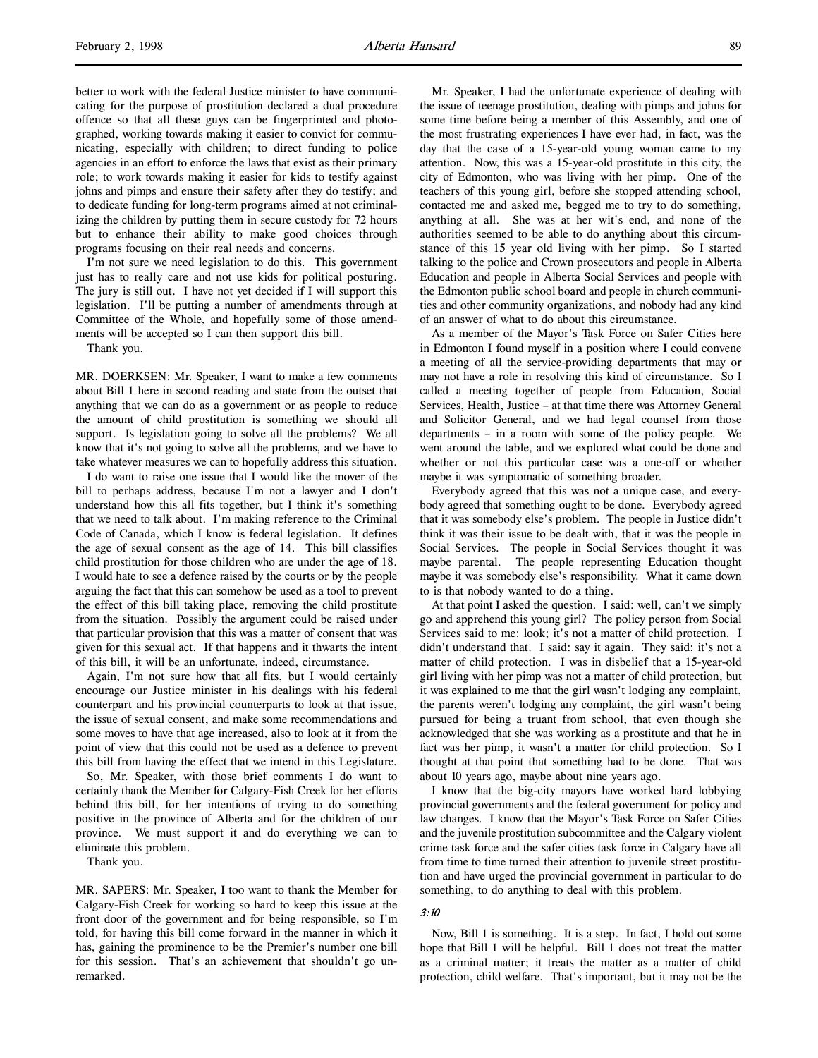better to work with the federal Justice minister to have communicating for the purpose of prostitution declared a dual procedure offence so that all these guys can be fingerprinted and photographed, working towards making it easier to convict for communicating, especially with children; to direct funding to police agencies in an effort to enforce the laws that exist as their primary role; to work towards making it easier for kids to testify against johns and pimps and ensure their safety after they do testify; and to dedicate funding for long-term programs aimed at not criminalizing the children by putting them in secure custody for 72 hours but to enhance their ability to make good choices through programs focusing on their real needs and concerns.

I'm not sure we need legislation to do this. This government just has to really care and not use kids for political posturing. The jury is still out. I have not yet decided if I will support this legislation. I'll be putting a number of amendments through at Committee of the Whole, and hopefully some of those amendments will be accepted so I can then support this bill.

Thank you.

MR. DOERKSEN: Mr. Speaker, I want to make a few comments about Bill 1 here in second reading and state from the outset that anything that we can do as a government or as people to reduce the amount of child prostitution is something we should all support. Is legislation going to solve all the problems? We all know that it's not going to solve all the problems, and we have to take whatever measures we can to hopefully address this situation.

I do want to raise one issue that I would like the mover of the bill to perhaps address, because I'm not a lawyer and I don't understand how this all fits together, but I think it's something that we need to talk about. I'm making reference to the Criminal Code of Canada, which I know is federal legislation. It defines the age of sexual consent as the age of 14. This bill classifies child prostitution for those children who are under the age of 18. I would hate to see a defence raised by the courts or by the people arguing the fact that this can somehow be used as a tool to prevent the effect of this bill taking place, removing the child prostitute from the situation. Possibly the argument could be raised under that particular provision that this was a matter of consent that was given for this sexual act. If that happens and it thwarts the intent of this bill, it will be an unfortunate, indeed, circumstance.

Again, I'm not sure how that all fits, but I would certainly encourage our Justice minister in his dealings with his federal counterpart and his provincial counterparts to look at that issue, the issue of sexual consent, and make some recommendations and some moves to have that age increased, also to look at it from the point of view that this could not be used as a defence to prevent this bill from having the effect that we intend in this Legislature.

So, Mr. Speaker, with those brief comments I do want to certainly thank the Member for Calgary-Fish Creek for her efforts behind this bill, for her intentions of trying to do something positive in the province of Alberta and for the children of our province. We must support it and do everything we can to eliminate this problem.

Thank you.

MR. SAPERS: Mr. Speaker, I too want to thank the Member for Calgary-Fish Creek for working so hard to keep this issue at the front door of the government and for being responsible, so I'm told, for having this bill come forward in the manner in which it has, gaining the prominence to be the Premier's number one bill for this session. That's an achievement that shouldn't go unremarked.

Mr. Speaker, I had the unfortunate experience of dealing with the issue of teenage prostitution, dealing with pimps and johns for some time before being a member of this Assembly, and one of the most frustrating experiences I have ever had, in fact, was the day that the case of a 15-year-old young woman came to my attention. Now, this was a 15-year-old prostitute in this city, the city of Edmonton, who was living with her pimp. One of the teachers of this young girl, before she stopped attending school, contacted me and asked me, begged me to try to do something, anything at all. She was at her wit's end, and none of the authorities seemed to be able to do anything about this circumstance of this 15 year old living with her pimp. So I started talking to the police and Crown prosecutors and people in Alberta Education and people in Alberta Social Services and people with the Edmonton public school board and people in church communities and other community organizations, and nobody had any kind of an answer of what to do about this circumstance.

As a member of the Mayor's Task Force on Safer Cities here in Edmonton I found myself in a position where I could convene a meeting of all the service-providing departments that may or may not have a role in resolving this kind of circumstance. So I called a meeting together of people from Education, Social Services, Health, Justice – at that time there was Attorney General and Solicitor General, and we had legal counsel from those departments – in a room with some of the policy people. We went around the table, and we explored what could be done and whether or not this particular case was a one-off or whether maybe it was symptomatic of something broader.

Everybody agreed that this was not a unique case, and everybody agreed that something ought to be done. Everybody agreed that it was somebody else's problem. The people in Justice didn't think it was their issue to be dealt with, that it was the people in Social Services. The people in Social Services thought it was maybe parental. The people representing Education thought maybe it was somebody else's responsibility. What it came down to is that nobody wanted to do a thing.

At that point I asked the question. I said: well, can't we simply go and apprehend this young girl? The policy person from Social Services said to me: look; it's not a matter of child protection. I didn't understand that. I said: say it again. They said: it's not a matter of child protection. I was in disbelief that a 15-year-old girl living with her pimp was not a matter of child protection, but it was explained to me that the girl wasn't lodging any complaint, the parents weren't lodging any complaint, the girl wasn't being pursued for being a truant from school, that even though she acknowledged that she was working as a prostitute and that he in fact was her pimp, it wasn't a matter for child protection. So I thought at that point that something had to be done. That was about 10 years ago, maybe about nine years ago.

I know that the big-city mayors have worked hard lobbying provincial governments and the federal government for policy and law changes. I know that the Mayor's Task Force on Safer Cities and the juvenile prostitution subcommittee and the Calgary violent crime task force and the safer cities task force in Calgary have all from time to time turned their attention to juvenile street prostitution and have urged the provincial government in particular to do something, to do anything to deal with this problem.

### 3:10

Now, Bill 1 is something. It is a step. In fact, I hold out some hope that Bill 1 will be helpful. Bill 1 does not treat the matter as a criminal matter; it treats the matter as a matter of child protection, child welfare. That's important, but it may not be the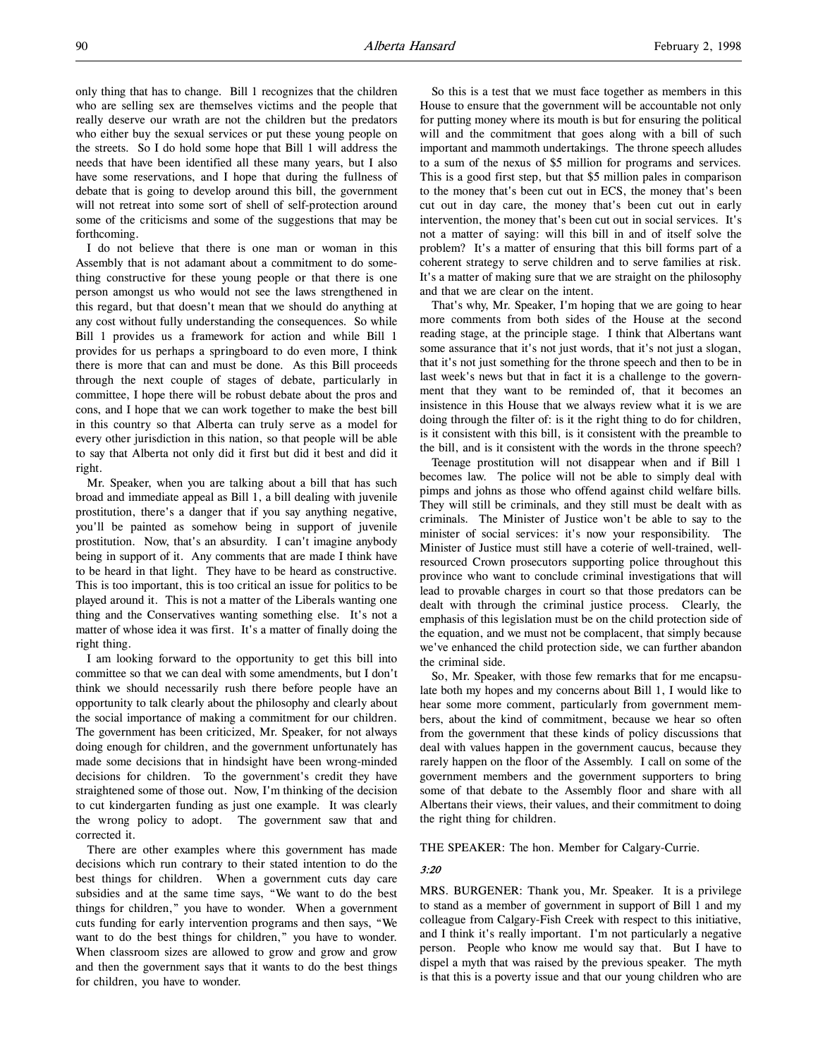only thing that has to change. Bill 1 recognizes that the children who are selling sex are themselves victims and the people that really deserve our wrath are not the children but the predators who either buy the sexual services or put these young people on the streets. So I do hold some hope that Bill 1 will address the needs that have been identified all these many years, but I also have some reservations, and I hope that during the fullness of debate that is going to develop around this bill, the government will not retreat into some sort of shell of self-protection around some of the criticisms and some of the suggestions that may be forthcoming.

I do not believe that there is one man or woman in this Assembly that is not adamant about a commitment to do something constructive for these young people or that there is one person amongst us who would not see the laws strengthened in this regard, but that doesn't mean that we should do anything at any cost without fully understanding the consequences. So while Bill 1 provides us a framework for action and while Bill 1 provides for us perhaps a springboard to do even more, I think there is more that can and must be done. As this Bill proceeds through the next couple of stages of debate, particularly in committee, I hope there will be robust debate about the pros and cons, and I hope that we can work together to make the best bill in this country so that Alberta can truly serve as a model for every other jurisdiction in this nation, so that people will be able to say that Alberta not only did it first but did it best and did it right.

Mr. Speaker, when you are talking about a bill that has such broad and immediate appeal as Bill 1, a bill dealing with juvenile prostitution, there's a danger that if you say anything negative, you'll be painted as somehow being in support of juvenile prostitution. Now, that's an absurdity. I can't imagine anybody being in support of it. Any comments that are made I think have to be heard in that light. They have to be heard as constructive. This is too important, this is too critical an issue for politics to be played around it. This is not a matter of the Liberals wanting one thing and the Conservatives wanting something else. It's not a matter of whose idea it was first. It's a matter of finally doing the right thing.

I am looking forward to the opportunity to get this bill into committee so that we can deal with some amendments, but I don't think we should necessarily rush there before people have an opportunity to talk clearly about the philosophy and clearly about the social importance of making a commitment for our children. The government has been criticized, Mr. Speaker, for not always doing enough for children, and the government unfortunately has made some decisions that in hindsight have been wrong-minded decisions for children. To the government's credit they have straightened some of those out. Now, I'm thinking of the decision to cut kindergarten funding as just one example. It was clearly the wrong policy to adopt. The government saw that and corrected it.

There are other examples where this government has made decisions which run contrary to their stated intention to do the best things for children. When a government cuts day care subsidies and at the same time says, "We want to do the best things for children," you have to wonder. When a government cuts funding for early intervention programs and then says, "We want to do the best things for children," you have to wonder. When classroom sizes are allowed to grow and grow and grow and then the government says that it wants to do the best things for children, you have to wonder.

So this is a test that we must face together as members in this House to ensure that the government will be accountable not only for putting money where its mouth is but for ensuring the political will and the commitment that goes along with a bill of such important and mammoth undertakings. The throne speech alludes to a sum of the nexus of \$5 million for programs and services. This is a good first step, but that \$5 million pales in comparison to the money that's been cut out in ECS, the money that's been cut out in day care, the money that's been cut out in early intervention, the money that's been cut out in social services. It's not a matter of saying: will this bill in and of itself solve the problem? It's a matter of ensuring that this bill forms part of a coherent strategy to serve children and to serve families at risk. It's a matter of making sure that we are straight on the philosophy and that we are clear on the intent.

That's why, Mr. Speaker, I'm hoping that we are going to hear more comments from both sides of the House at the second reading stage, at the principle stage. I think that Albertans want some assurance that it's not just words, that it's not just a slogan, that it's not just something for the throne speech and then to be in last week's news but that in fact it is a challenge to the government that they want to be reminded of, that it becomes an insistence in this House that we always review what it is we are doing through the filter of: is it the right thing to do for children, is it consistent with this bill, is it consistent with the preamble to the bill, and is it consistent with the words in the throne speech?

Teenage prostitution will not disappear when and if Bill 1 becomes law. The police will not be able to simply deal with pimps and johns as those who offend against child welfare bills. They will still be criminals, and they still must be dealt with as criminals. The Minister of Justice won't be able to say to the minister of social services: it's now your responsibility. The Minister of Justice must still have a coterie of well-trained, wellresourced Crown prosecutors supporting police throughout this province who want to conclude criminal investigations that will lead to provable charges in court so that those predators can be dealt with through the criminal justice process. Clearly, the emphasis of this legislation must be on the child protection side of the equation, and we must not be complacent, that simply because we've enhanced the child protection side, we can further abandon the criminal side.

So, Mr. Speaker, with those few remarks that for me encapsulate both my hopes and my concerns about Bill 1, I would like to hear some more comment, particularly from government members, about the kind of commitment, because we hear so often from the government that these kinds of policy discussions that deal with values happen in the government caucus, because they rarely happen on the floor of the Assembly. I call on some of the government members and the government supporters to bring some of that debate to the Assembly floor and share with all Albertans their views, their values, and their commitment to doing the right thing for children.

#### THE SPEAKER: The hon. Member for Calgary-Currie.

# 3:20

MRS. BURGENER: Thank you, Mr. Speaker. It is a privilege to stand as a member of government in support of Bill 1 and my colleague from Calgary-Fish Creek with respect to this initiative, and I think it's really important. I'm not particularly a negative person. People who know me would say that. But I have to dispel a myth that was raised by the previous speaker. The myth is that this is a poverty issue and that our young children who are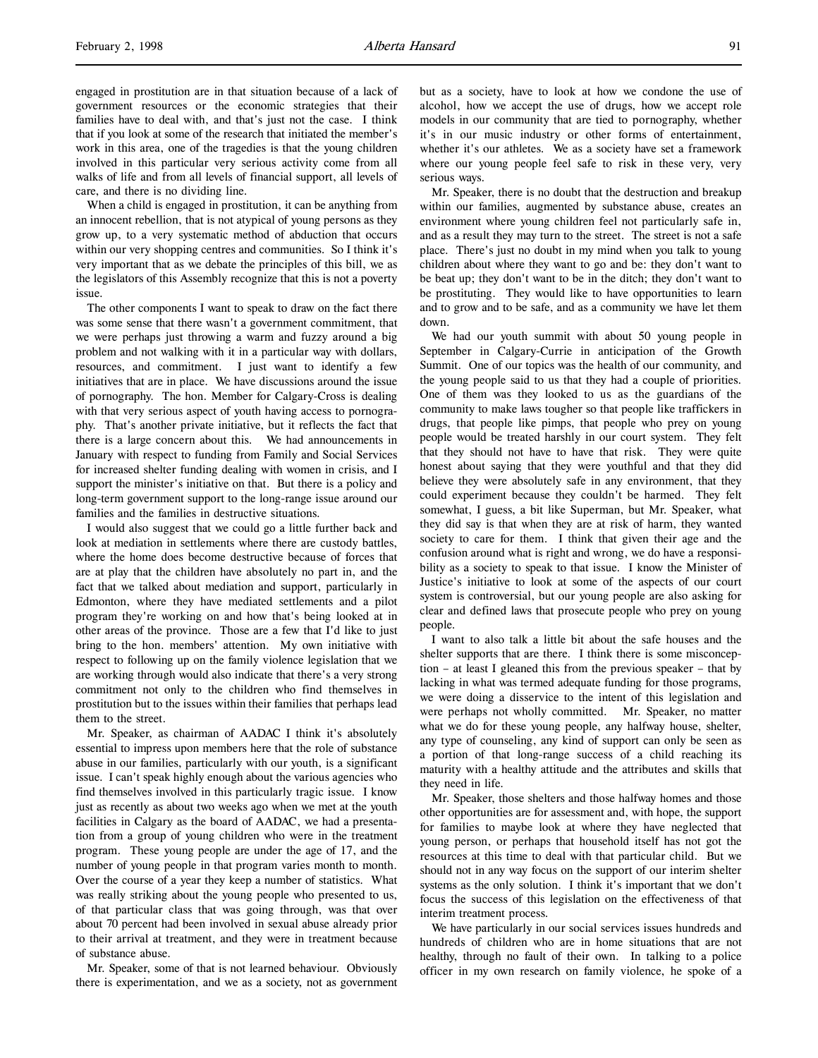engaged in prostitution are in that situation because of a lack of government resources or the economic strategies that their families have to deal with, and that's just not the case. I think that if you look at some of the research that initiated the member's work in this area, one of the tragedies is that the young children involved in this particular very serious activity come from all walks of life and from all levels of financial support, all levels of care, and there is no dividing line.

When a child is engaged in prostitution, it can be anything from an innocent rebellion, that is not atypical of young persons as they grow up, to a very systematic method of abduction that occurs within our very shopping centres and communities. So I think it's very important that as we debate the principles of this bill, we as the legislators of this Assembly recognize that this is not a poverty issue.

The other components I want to speak to draw on the fact there was some sense that there wasn't a government commitment, that we were perhaps just throwing a warm and fuzzy around a big problem and not walking with it in a particular way with dollars, resources, and commitment. I just want to identify a few initiatives that are in place. We have discussions around the issue of pornography. The hon. Member for Calgary-Cross is dealing with that very serious aspect of youth having access to pornography. That's another private initiative, but it reflects the fact that there is a large concern about this. We had announcements in January with respect to funding from Family and Social Services for increased shelter funding dealing with women in crisis, and I support the minister's initiative on that. But there is a policy and long-term government support to the long-range issue around our families and the families in destructive situations.

I would also suggest that we could go a little further back and look at mediation in settlements where there are custody battles, where the home does become destructive because of forces that are at play that the children have absolutely no part in, and the fact that we talked about mediation and support, particularly in Edmonton, where they have mediated settlements and a pilot program they're working on and how that's being looked at in other areas of the province. Those are a few that I'd like to just bring to the hon. members' attention. My own initiative with respect to following up on the family violence legislation that we are working through would also indicate that there's a very strong commitment not only to the children who find themselves in prostitution but to the issues within their families that perhaps lead them to the street.

Mr. Speaker, as chairman of AADAC I think it's absolutely essential to impress upon members here that the role of substance abuse in our families, particularly with our youth, is a significant issue. I can't speak highly enough about the various agencies who find themselves involved in this particularly tragic issue. I know just as recently as about two weeks ago when we met at the youth facilities in Calgary as the board of AADAC, we had a presentation from a group of young children who were in the treatment program. These young people are under the age of 17, and the number of young people in that program varies month to month. Over the course of a year they keep a number of statistics. What was really striking about the young people who presented to us, of that particular class that was going through, was that over about 70 percent had been involved in sexual abuse already prior to their arrival at treatment, and they were in treatment because of substance abuse.

Mr. Speaker, some of that is not learned behaviour. Obviously there is experimentation, and we as a society, not as government but as a society, have to look at how we condone the use of alcohol, how we accept the use of drugs, how we accept role models in our community that are tied to pornography, whether it's in our music industry or other forms of entertainment, whether it's our athletes. We as a society have set a framework where our young people feel safe to risk in these very, very serious ways.

Mr. Speaker, there is no doubt that the destruction and breakup within our families, augmented by substance abuse, creates an environment where young children feel not particularly safe in, and as a result they may turn to the street. The street is not a safe place. There's just no doubt in my mind when you talk to young children about where they want to go and be: they don't want to be beat up; they don't want to be in the ditch; they don't want to be prostituting. They would like to have opportunities to learn and to grow and to be safe, and as a community we have let them down.

We had our youth summit with about 50 young people in September in Calgary-Currie in anticipation of the Growth Summit. One of our topics was the health of our community, and the young people said to us that they had a couple of priorities. One of them was they looked to us as the guardians of the community to make laws tougher so that people like traffickers in drugs, that people like pimps, that people who prey on young people would be treated harshly in our court system. They felt that they should not have to have that risk. They were quite honest about saying that they were youthful and that they did believe they were absolutely safe in any environment, that they could experiment because they couldn't be harmed. They felt somewhat, I guess, a bit like Superman, but Mr. Speaker, what they did say is that when they are at risk of harm, they wanted society to care for them. I think that given their age and the confusion around what is right and wrong, we do have a responsibility as a society to speak to that issue. I know the Minister of Justice's initiative to look at some of the aspects of our court system is controversial, but our young people are also asking for clear and defined laws that prosecute people who prey on young people.

I want to also talk a little bit about the safe houses and the shelter supports that are there. I think there is some misconception – at least I gleaned this from the previous speaker – that by lacking in what was termed adequate funding for those programs, we were doing a disservice to the intent of this legislation and were perhaps not wholly committed. Mr. Speaker, no matter what we do for these young people, any halfway house, shelter, any type of counseling, any kind of support can only be seen as a portion of that long-range success of a child reaching its maturity with a healthy attitude and the attributes and skills that they need in life.

Mr. Speaker, those shelters and those halfway homes and those other opportunities are for assessment and, with hope, the support for families to maybe look at where they have neglected that young person, or perhaps that household itself has not got the resources at this time to deal with that particular child. But we should not in any way focus on the support of our interim shelter systems as the only solution. I think it's important that we don't focus the success of this legislation on the effectiveness of that interim treatment process.

We have particularly in our social services issues hundreds and hundreds of children who are in home situations that are not healthy, through no fault of their own. In talking to a police officer in my own research on family violence, he spoke of a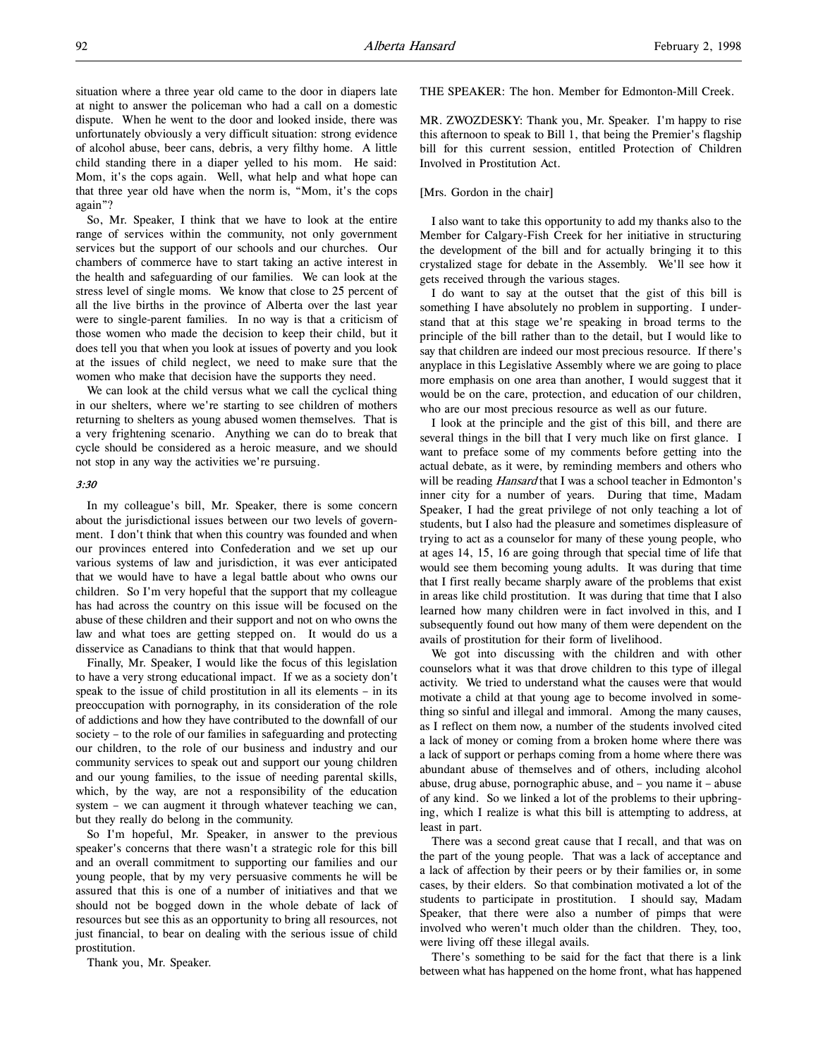situation where a three year old came to the door in diapers late at night to answer the policeman who had a call on a domestic dispute. When he went to the door and looked inside, there was unfortunately obviously a very difficult situation: strong evidence of alcohol abuse, beer cans, debris, a very filthy home. A little child standing there in a diaper yelled to his mom. He said: Mom, it's the cops again. Well, what help and what hope can that three year old have when the norm is, "Mom, it's the cops again"?

So, Mr. Speaker, I think that we have to look at the entire range of services within the community, not only government services but the support of our schools and our churches. Our chambers of commerce have to start taking an active interest in the health and safeguarding of our families. We can look at the stress level of single moms. We know that close to 25 percent of all the live births in the province of Alberta over the last year were to single-parent families. In no way is that a criticism of those women who made the decision to keep their child, but it does tell you that when you look at issues of poverty and you look at the issues of child neglect, we need to make sure that the women who make that decision have the supports they need.

We can look at the child versus what we call the cyclical thing in our shelters, where we're starting to see children of mothers returning to shelters as young abused women themselves. That is a very frightening scenario. Anything we can do to break that cycle should be considered as a heroic measure, and we should not stop in any way the activities we're pursuing.

## 3:30

In my colleague's bill, Mr. Speaker, there is some concern about the jurisdictional issues between our two levels of government. I don't think that when this country was founded and when our provinces entered into Confederation and we set up our various systems of law and jurisdiction, it was ever anticipated that we would have to have a legal battle about who owns our children. So I'm very hopeful that the support that my colleague has had across the country on this issue will be focused on the abuse of these children and their support and not on who owns the law and what toes are getting stepped on. It would do us a disservice as Canadians to think that that would happen.

Finally, Mr. Speaker, I would like the focus of this legislation to have a very strong educational impact. If we as a society don't speak to the issue of child prostitution in all its elements – in its preoccupation with pornography, in its consideration of the role of addictions and how they have contributed to the downfall of our society – to the role of our families in safeguarding and protecting our children, to the role of our business and industry and our community services to speak out and support our young children and our young families, to the issue of needing parental skills, which, by the way, are not a responsibility of the education system – we can augment it through whatever teaching we can, but they really do belong in the community.

So I'm hopeful, Mr. Speaker, in answer to the previous speaker's concerns that there wasn't a strategic role for this bill and an overall commitment to supporting our families and our young people, that by my very persuasive comments he will be assured that this is one of a number of initiatives and that we should not be bogged down in the whole debate of lack of resources but see this as an opportunity to bring all resources, not just financial, to bear on dealing with the serious issue of child prostitution.

Thank you, Mr. Speaker.

THE SPEAKER: The hon. Member for Edmonton-Mill Creek.

MR. ZWOZDESKY: Thank you, Mr. Speaker. I'm happy to rise this afternoon to speak to Bill 1, that being the Premier's flagship bill for this current session, entitled Protection of Children Involved in Prostitution Act.

#### [Mrs. Gordon in the chair]

I also want to take this opportunity to add my thanks also to the Member for Calgary-Fish Creek for her initiative in structuring the development of the bill and for actually bringing it to this crystalized stage for debate in the Assembly. We'll see how it gets received through the various stages.

I do want to say at the outset that the gist of this bill is something I have absolutely no problem in supporting. I understand that at this stage we're speaking in broad terms to the principle of the bill rather than to the detail, but I would like to say that children are indeed our most precious resource. If there's anyplace in this Legislative Assembly where we are going to place more emphasis on one area than another, I would suggest that it would be on the care, protection, and education of our children, who are our most precious resource as well as our future.

I look at the principle and the gist of this bill, and there are several things in the bill that I very much like on first glance. I want to preface some of my comments before getting into the actual debate, as it were, by reminding members and others who will be reading *Hansard* that I was a school teacher in Edmonton's inner city for a number of years. During that time, Madam Speaker, I had the great privilege of not only teaching a lot of students, but I also had the pleasure and sometimes displeasure of trying to act as a counselor for many of these young people, who at ages 14, 15, 16 are going through that special time of life that would see them becoming young adults. It was during that time that I first really became sharply aware of the problems that exist in areas like child prostitution. It was during that time that I also learned how many children were in fact involved in this, and I subsequently found out how many of them were dependent on the avails of prostitution for their form of livelihood.

We got into discussing with the children and with other counselors what it was that drove children to this type of illegal activity. We tried to understand what the causes were that would motivate a child at that young age to become involved in something so sinful and illegal and immoral. Among the many causes, as I reflect on them now, a number of the students involved cited a lack of money or coming from a broken home where there was a lack of support or perhaps coming from a home where there was abundant abuse of themselves and of others, including alcohol abuse, drug abuse, pornographic abuse, and – you name it – abuse of any kind. So we linked a lot of the problems to their upbringing, which I realize is what this bill is attempting to address, at least in part.

There was a second great cause that I recall, and that was on the part of the young people. That was a lack of acceptance and a lack of affection by their peers or by their families or, in some cases, by their elders. So that combination motivated a lot of the students to participate in prostitution. I should say, Madam Speaker, that there were also a number of pimps that were involved who weren't much older than the children. They, too, were living off these illegal avails.

There's something to be said for the fact that there is a link between what has happened on the home front, what has happened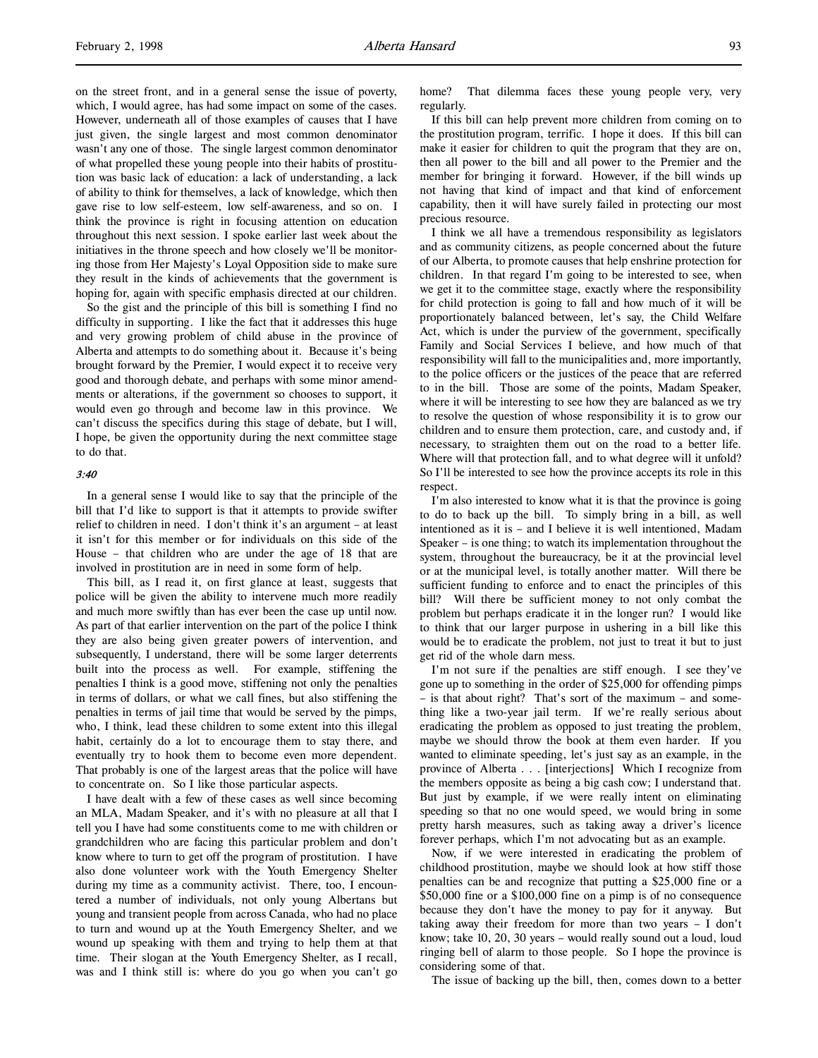on the street front, and in a general sense the issue of poverty, which, I would agree, has had some impact on some of the cases. However, underneath all of those examples of causes that I have just given, the single largest and most common denominator wasn't any one of those. The single largest common denominator of what propelled these young people into their habits of prostitution was basic lack of education: a lack of understanding, a lack of ability to think for themselves, a lack of knowledge, which then gave rise to low self-esteem, low self-awareness, and so on. I think the province is right in focusing attention on education throughout this next session. I spoke earlier last week about the initiatives in the throne speech and how closely we'll be monitoring those from Her Majesty's Loyal Opposition side to make sure they result in the kinds of achievements that the government is hoping for, again with specific emphasis directed at our children.

So the gist and the principle of this bill is something I find no difficulty in supporting. I like the fact that it addresses this huge and very growing problem of child abuse in the province of Alberta and attempts to do something about it. Because it's being brought forward by the Premier, I would expect it to receive very good and thorough debate, and perhaps with some minor amendments or alterations, if the government so chooses to support, it would even go through and become law in this province. We can't discuss the specifics during this stage of debate, but I will, I hope, be given the opportunity during the next committee stage to do that.

#### 3:40

In a general sense I would like to say that the principle of the bill that I'd like to support is that it attempts to provide swifter relief to children in need. I don't think it's an argument – at least it isn't for this member or for individuals on this side of the House – that children who are under the age of 18 that are involved in prostitution are in need in some form of help.

This bill, as I read it, on first glance at least, suggests that police will be given the ability to intervene much more readily and much more swiftly than has ever been the case up until now. As part of that earlier intervention on the part of the police I think they are also being given greater powers of intervention, and subsequently, I understand, there will be some larger deterrents built into the process as well. For example, stiffening the penalties I think is a good move, stiffening not only the penalties in terms of dollars, or what we call fines, but also stiffening the penalties in terms of jail time that would be served by the pimps, who, I think, lead these children to some extent into this illegal habit, certainly do a lot to encourage them to stay there, and eventually try to hook them to become even more dependent. That probably is one of the largest areas that the police will have to concentrate on. So I like those particular aspects.

I have dealt with a few of these cases as well since becoming an MLA, Madam Speaker, and it's with no pleasure at all that I tell you I have had some constituents come to me with children or grandchildren who are facing this particular problem and don't know where to turn to get off the program of prostitution. I have also done volunteer work with the Youth Emergency Shelter during my time as a community activist. There, too, I encountered a number of individuals, not only young Albertans but young and transient people from across Canada, who had no place to turn and wound up at the Youth Emergency Shelter, and we wound up speaking with them and trying to help them at that time. Their slogan at the Youth Emergency Shelter, as I recall, was and I think still is: where do you go when you can't go

home? That dilemma faces these young people very, very regularly.

If this bill can help prevent more children from coming on to the prostitution program, terrific. I hope it does. If this bill can make it easier for children to quit the program that they are on, then all power to the bill and all power to the Premier and the member for bringing it forward. However, if the bill winds up not having that kind of impact and that kind of enforcement capability, then it will have surely failed in protecting our most precious resource.

I think we all have a tremendous responsibility as legislators and as community citizens, as people concerned about the future of our Alberta, to promote causes that help enshrine protection for children. In that regard I'm going to be interested to see, when we get it to the committee stage, exactly where the responsibility for child protection is going to fall and how much of it will be proportionately balanced between, let's say, the Child Welfare Act, which is under the purview of the government, specifically Family and Social Services I believe, and how much of that responsibility will fall to the municipalities and, more importantly, to the police officers or the justices of the peace that are referred to in the bill. Those are some of the points, Madam Speaker, where it will be interesting to see how they are balanced as we try to resolve the question of whose responsibility it is to grow our children and to ensure them protection, care, and custody and, if necessary, to straighten them out on the road to a better life. Where will that protection fall, and to what degree will it unfold? So I'll be interested to see how the province accepts its role in this respect.

I'm also interested to know what it is that the province is going to do to back up the bill. To simply bring in a bill, as well intentioned as it is – and I believe it is well intentioned, Madam Speaker – is one thing; to watch its implementation throughout the system, throughout the bureaucracy, be it at the provincial level or at the municipal level, is totally another matter. Will there be sufficient funding to enforce and to enact the principles of this bill? Will there be sufficient money to not only combat the problem but perhaps eradicate it in the longer run? I would like to think that our larger purpose in ushering in a bill like this would be to eradicate the problem, not just to treat it but to just get rid of the whole darn mess.

I'm not sure if the penalties are stiff enough. I see they've gone up to something in the order of \$25,000 for offending pimps – is that about right? That's sort of the maximum – and something like a two-year jail term. If we're really serious about eradicating the problem as opposed to just treating the problem, maybe we should throw the book at them even harder. If you wanted to eliminate speeding, let's just say as an example, in the province of Alberta . . . [interjections] Which I recognize from the members opposite as being a big cash cow; I understand that. But just by example, if we were really intent on eliminating speeding so that no one would speed, we would bring in some pretty harsh measures, such as taking away a driver's licence forever perhaps, which I'm not advocating but as an example.

Now, if we were interested in eradicating the problem of childhood prostitution, maybe we should look at how stiff those penalties can be and recognize that putting a \$25,000 fine or a \$50,000 fine or a \$100,000 fine on a pimp is of no consequence because they don't have the money to pay for it anyway. But taking away their freedom for more than two years – I don't know; take 10, 20, 30 years – would really sound out a loud, loud ringing bell of alarm to those people. So I hope the province is considering some of that.

The issue of backing up the bill, then, comes down to a better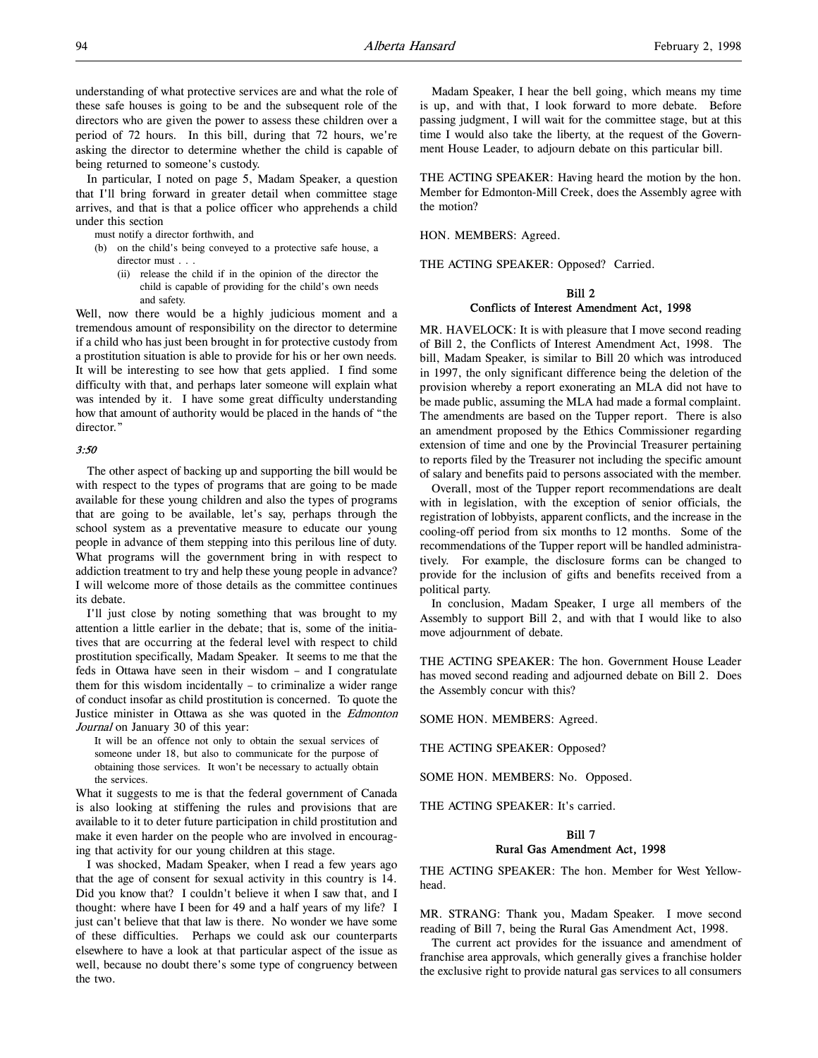understanding of what protective services are and what the role of these safe houses is going to be and the subsequent role of the directors who are given the power to assess these children over a period of 72 hours. In this bill, during that 72 hours, we're asking the director to determine whether the child is capable of being returned to someone's custody.

In particular, I noted on page 5, Madam Speaker, a question that I'll bring forward in greater detail when committee stage arrives, and that is that a police officer who apprehends a child under this section

must notify a director forthwith, and

- (b) on the child's being conveyed to a protective safe house, a director must . . .
	- (ii) release the child if in the opinion of the director the child is capable of providing for the child's own needs and safety.

Well, now there would be a highly judicious moment and a tremendous amount of responsibility on the director to determine if a child who has just been brought in for protective custody from a prostitution situation is able to provide for his or her own needs. It will be interesting to see how that gets applied. I find some difficulty with that, and perhaps later someone will explain what was intended by it. I have some great difficulty understanding how that amount of authority would be placed in the hands of "the director."

#### 3:50

The other aspect of backing up and supporting the bill would be with respect to the types of programs that are going to be made available for these young children and also the types of programs that are going to be available, let's say, perhaps through the school system as a preventative measure to educate our young people in advance of them stepping into this perilous line of duty. What programs will the government bring in with respect to addiction treatment to try and help these young people in advance? I will welcome more of those details as the committee continues its debate.

I'll just close by noting something that was brought to my attention a little earlier in the debate; that is, some of the initiatives that are occurring at the federal level with respect to child prostitution specifically, Madam Speaker. It seems to me that the feds in Ottawa have seen in their wisdom – and I congratulate them for this wisdom incidentally – to criminalize a wider range of conduct insofar as child prostitution is concerned. To quote the Justice minister in Ottawa as she was quoted in the Edmonton Journal on January 30 of this year:

It will be an offence not only to obtain the sexual services of someone under 18, but also to communicate for the purpose of obtaining those services. It won't be necessary to actually obtain the services.

What it suggests to me is that the federal government of Canada is also looking at stiffening the rules and provisions that are available to it to deter future participation in child prostitution and make it even harder on the people who are involved in encouraging that activity for our young children at this stage.

I was shocked, Madam Speaker, when I read a few years ago that the age of consent for sexual activity in this country is 14. Did you know that? I couldn't believe it when I saw that, and I thought: where have I been for 49 and a half years of my life? I just can't believe that that law is there. No wonder we have some of these difficulties. Perhaps we could ask our counterparts elsewhere to have a look at that particular aspect of the issue as well, because no doubt there's some type of congruency between the two.

Madam Speaker, I hear the bell going, which means my time is up, and with that, I look forward to more debate. Before passing judgment, I will wait for the committee stage, but at this time I would also take the liberty, at the request of the Government House Leader, to adjourn debate on this particular bill.

THE ACTING SPEAKER: Having heard the motion by the hon. Member for Edmonton-Mill Creek, does the Assembly agree with the motion?

HON. MEMBERS: Agreed.

THE ACTING SPEAKER: Opposed? Carried.

# Bill 2 Conflicts of Interest Amendment Act, 1998

MR. HAVELOCK: It is with pleasure that I move second reading of Bill 2, the Conflicts of Interest Amendment Act, 1998. The bill, Madam Speaker, is similar to Bill 20 which was introduced in 1997, the only significant difference being the deletion of the provision whereby a report exonerating an MLA did not have to be made public, assuming the MLA had made a formal complaint. The amendments are based on the Tupper report. There is also an amendment proposed by the Ethics Commissioner regarding extension of time and one by the Provincial Treasurer pertaining to reports filed by the Treasurer not including the specific amount of salary and benefits paid to persons associated with the member.

Overall, most of the Tupper report recommendations are dealt with in legislation, with the exception of senior officials, the registration of lobbyists, apparent conflicts, and the increase in the cooling-off period from six months to 12 months. Some of the recommendations of the Tupper report will be handled administratively. For example, the disclosure forms can be changed to provide for the inclusion of gifts and benefits received from a political party.

In conclusion, Madam Speaker, I urge all members of the Assembly to support Bill 2, and with that I would like to also move adjournment of debate.

THE ACTING SPEAKER: The hon. Government House Leader has moved second reading and adjourned debate on Bill 2. Does the Assembly concur with this?

SOME HON. MEMBERS: Agreed.

THE ACTING SPEAKER: Opposed?

SOME HON. MEMBERS: No. Opposed.

THE ACTING SPEAKER: It's carried.

## Bill 7 Rural Gas Amendment Act, 1998

THE ACTING SPEAKER: The hon. Member for West Yellowhead.

MR. STRANG: Thank you, Madam Speaker. I move second reading of Bill 7, being the Rural Gas Amendment Act, 1998.

The current act provides for the issuance and amendment of franchise area approvals, which generally gives a franchise holder the exclusive right to provide natural gas services to all consumers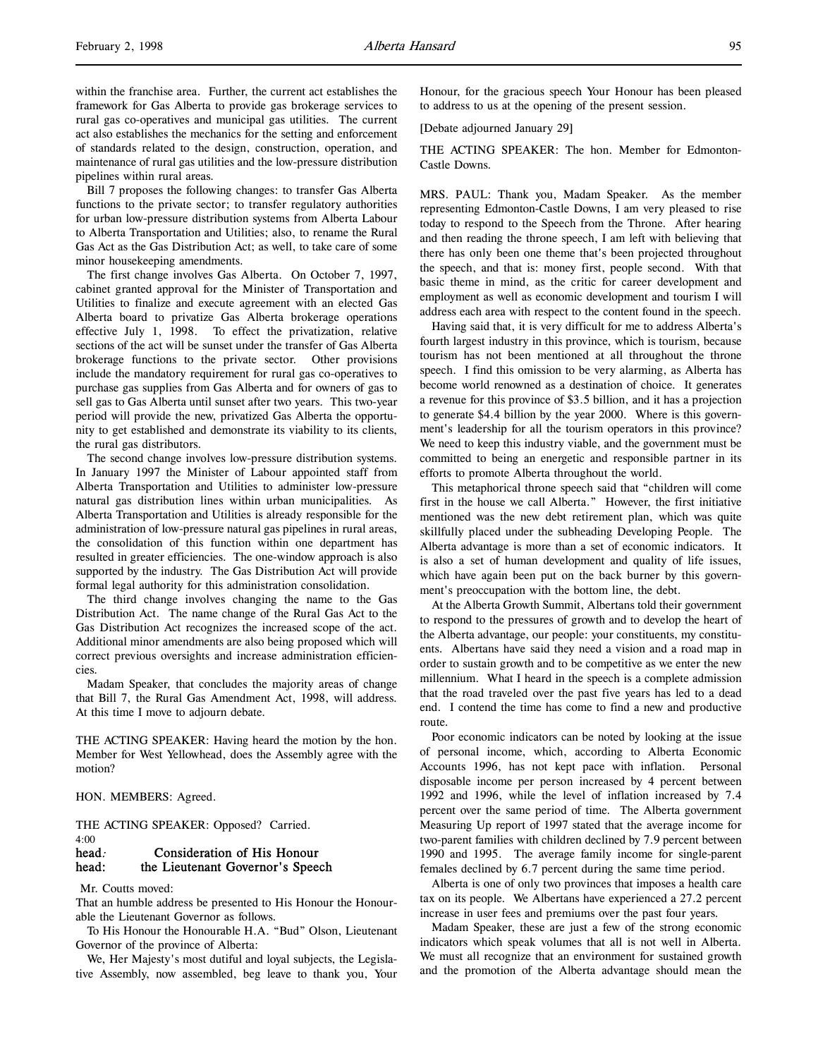within the franchise area. Further, the current act establishes the framework for Gas Alberta to provide gas brokerage services to rural gas co-operatives and municipal gas utilities. The current act also establishes the mechanics for the setting and enforcement of standards related to the design, construction, operation, and maintenance of rural gas utilities and the low-pressure distribution pipelines within rural areas.

Bill 7 proposes the following changes: to transfer Gas Alberta functions to the private sector; to transfer regulatory authorities for urban low-pressure distribution systems from Alberta Labour to Alberta Transportation and Utilities; also, to rename the Rural Gas Act as the Gas Distribution Act; as well, to take care of some minor housekeeping amendments.

The first change involves Gas Alberta. On October 7, 1997, cabinet granted approval for the Minister of Transportation and Utilities to finalize and execute agreement with an elected Gas Alberta board to privatize Gas Alberta brokerage operations effective July 1, 1998. To effect the privatization, relative sections of the act will be sunset under the transfer of Gas Alberta brokerage functions to the private sector. Other provisions include the mandatory requirement for rural gas co-operatives to purchase gas supplies from Gas Alberta and for owners of gas to sell gas to Gas Alberta until sunset after two years. This two-year period will provide the new, privatized Gas Alberta the opportunity to get established and demonstrate its viability to its clients, the rural gas distributors.

The second change involves low-pressure distribution systems. In January 1997 the Minister of Labour appointed staff from Alberta Transportation and Utilities to administer low-pressure natural gas distribution lines within urban municipalities. As Alberta Transportation and Utilities is already responsible for the administration of low-pressure natural gas pipelines in rural areas, the consolidation of this function within one department has resulted in greater efficiencies. The one-window approach is also supported by the industry. The Gas Distribution Act will provide formal legal authority for this administration consolidation.

The third change involves changing the name to the Gas Distribution Act. The name change of the Rural Gas Act to the Gas Distribution Act recognizes the increased scope of the act. Additional minor amendments are also being proposed which will correct previous oversights and increase administration efficiencies.

Madam Speaker, that concludes the majority areas of change that Bill 7, the Rural Gas Amendment Act, 1998, will address. At this time I move to adjourn debate.

THE ACTING SPEAKER: Having heard the motion by the hon. Member for West Yellowhead, does the Assembly agree with the motion?

HON. MEMBERS: Agreed.

THE ACTING SPEAKER: Opposed? Carried. 4:00

# head: Consideration of His Honour head: the Lieutenant Governor's Speech

Mr. Coutts moved:

That an humble address be presented to His Honour the Honourable the Lieutenant Governor as follows.

To His Honour the Honourable H.A. "Bud" Olson, Lieutenant Governor of the province of Alberta:

We, Her Majesty's most dutiful and loyal subjects, the Legislative Assembly, now assembled, beg leave to thank you, Your Honour, for the gracious speech Your Honour has been pleased to address to us at the opening of the present session.

[Debate adjourned January 29]

THE ACTING SPEAKER: The hon. Member for Edmonton-Castle Downs.

MRS. PAUL: Thank you, Madam Speaker. As the member representing Edmonton-Castle Downs, I am very pleased to rise today to respond to the Speech from the Throne. After hearing and then reading the throne speech, I am left with believing that there has only been one theme that's been projected throughout the speech, and that is: money first, people second. With that basic theme in mind, as the critic for career development and employment as well as economic development and tourism I will address each area with respect to the content found in the speech.

Having said that, it is very difficult for me to address Alberta's fourth largest industry in this province, which is tourism, because tourism has not been mentioned at all throughout the throne speech. I find this omission to be very alarming, as Alberta has become world renowned as a destination of choice. It generates a revenue for this province of \$3.5 billion, and it has a projection to generate \$4.4 billion by the year 2000. Where is this government's leadership for all the tourism operators in this province? We need to keep this industry viable, and the government must be committed to being an energetic and responsible partner in its efforts to promote Alberta throughout the world.

This metaphorical throne speech said that "children will come first in the house we call Alberta." However, the first initiative mentioned was the new debt retirement plan, which was quite skillfully placed under the subheading Developing People. The Alberta advantage is more than a set of economic indicators. It is also a set of human development and quality of life issues, which have again been put on the back burner by this government's preoccupation with the bottom line, the debt.

At the Alberta Growth Summit, Albertans told their government to respond to the pressures of growth and to develop the heart of the Alberta advantage, our people: your constituents, my constituents. Albertans have said they need a vision and a road map in order to sustain growth and to be competitive as we enter the new millennium. What I heard in the speech is a complete admission that the road traveled over the past five years has led to a dead end. I contend the time has come to find a new and productive route.

Poor economic indicators can be noted by looking at the issue of personal income, which, according to Alberta Economic Accounts 1996, has not kept pace with inflation. Personal disposable income per person increased by 4 percent between 1992 and 1996, while the level of inflation increased by 7.4 percent over the same period of time. The Alberta government Measuring Up report of 1997 stated that the average income for two-parent families with children declined by 7.9 percent between 1990 and 1995. The average family income for single-parent females declined by 6.7 percent during the same time period.

Alberta is one of only two provinces that imposes a health care tax on its people. We Albertans have experienced a 27.2 percent increase in user fees and premiums over the past four years.

Madam Speaker, these are just a few of the strong economic indicators which speak volumes that all is not well in Alberta. We must all recognize that an environment for sustained growth and the promotion of the Alberta advantage should mean the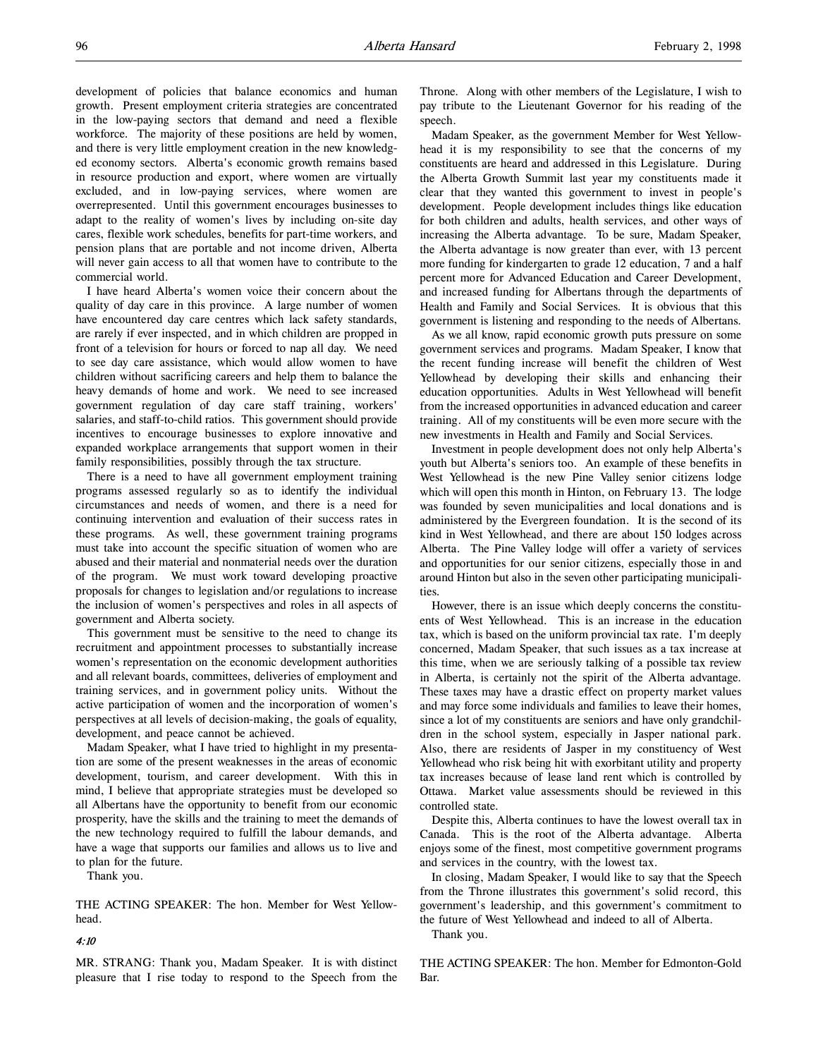development of policies that balance economics and human growth. Present employment criteria strategies are concentrated in the low-paying sectors that demand and need a flexible workforce. The majority of these positions are held by women, and there is very little employment creation in the new knowledged economy sectors. Alberta's economic growth remains based in resource production and export, where women are virtually excluded, and in low-paying services, where women are overrepresented. Until this government encourages businesses to adapt to the reality of women's lives by including on-site day cares, flexible work schedules, benefits for part-time workers, and pension plans that are portable and not income driven, Alberta will never gain access to all that women have to contribute to the commercial world.

I have heard Alberta's women voice their concern about the quality of day care in this province. A large number of women have encountered day care centres which lack safety standards, are rarely if ever inspected, and in which children are propped in front of a television for hours or forced to nap all day. We need to see day care assistance, which would allow women to have children without sacrificing careers and help them to balance the heavy demands of home and work. We need to see increased government regulation of day care staff training, workers' salaries, and staff-to-child ratios. This government should provide incentives to encourage businesses to explore innovative and expanded workplace arrangements that support women in their family responsibilities, possibly through the tax structure.

There is a need to have all government employment training programs assessed regularly so as to identify the individual circumstances and needs of women, and there is a need for continuing intervention and evaluation of their success rates in these programs. As well, these government training programs must take into account the specific situation of women who are abused and their material and nonmaterial needs over the duration of the program. We must work toward developing proactive proposals for changes to legislation and/or regulations to increase the inclusion of women's perspectives and roles in all aspects of government and Alberta society.

This government must be sensitive to the need to change its recruitment and appointment processes to substantially increase women's representation on the economic development authorities and all relevant boards, committees, deliveries of employment and training services, and in government policy units. Without the active participation of women and the incorporation of women's perspectives at all levels of decision-making, the goals of equality, development, and peace cannot be achieved.

Madam Speaker, what I have tried to highlight in my presentation are some of the present weaknesses in the areas of economic development, tourism, and career development. With this in mind, I believe that appropriate strategies must be developed so all Albertans have the opportunity to benefit from our economic prosperity, have the skills and the training to meet the demands of the new technology required to fulfill the labour demands, and have a wage that supports our families and allows us to live and to plan for the future.

Thank you.

THE ACTING SPEAKER: The hon. Member for West Yellowhead.

#### 4:10

MR. STRANG: Thank you, Madam Speaker. It is with distinct pleasure that I rise today to respond to the Speech from the

Throne. Along with other members of the Legislature, I wish to pay tribute to the Lieutenant Governor for his reading of the speech.

Madam Speaker, as the government Member for West Yellowhead it is my responsibility to see that the concerns of my constituents are heard and addressed in this Legislature. During the Alberta Growth Summit last year my constituents made it clear that they wanted this government to invest in people's development. People development includes things like education for both children and adults, health services, and other ways of increasing the Alberta advantage. To be sure, Madam Speaker, the Alberta advantage is now greater than ever, with 13 percent more funding for kindergarten to grade 12 education, 7 and a half percent more for Advanced Education and Career Development, and increased funding for Albertans through the departments of Health and Family and Social Services. It is obvious that this government is listening and responding to the needs of Albertans.

As we all know, rapid economic growth puts pressure on some government services and programs. Madam Speaker, I know that the recent funding increase will benefit the children of West Yellowhead by developing their skills and enhancing their education opportunities. Adults in West Yellowhead will benefit from the increased opportunities in advanced education and career training. All of my constituents will be even more secure with the new investments in Health and Family and Social Services.

Investment in people development does not only help Alberta's youth but Alberta's seniors too. An example of these benefits in West Yellowhead is the new Pine Valley senior citizens lodge which will open this month in Hinton, on February 13. The lodge was founded by seven municipalities and local donations and is administered by the Evergreen foundation. It is the second of its kind in West Yellowhead, and there are about 150 lodges across Alberta. The Pine Valley lodge will offer a variety of services and opportunities for our senior citizens, especially those in and around Hinton but also in the seven other participating municipalities.

However, there is an issue which deeply concerns the constituents of West Yellowhead. This is an increase in the education tax, which is based on the uniform provincial tax rate. I'm deeply concerned, Madam Speaker, that such issues as a tax increase at this time, when we are seriously talking of a possible tax review in Alberta, is certainly not the spirit of the Alberta advantage. These taxes may have a drastic effect on property market values and may force some individuals and families to leave their homes, since a lot of my constituents are seniors and have only grandchildren in the school system, especially in Jasper national park. Also, there are residents of Jasper in my constituency of West Yellowhead who risk being hit with exorbitant utility and property tax increases because of lease land rent which is controlled by Ottawa. Market value assessments should be reviewed in this controlled state.

Despite this, Alberta continues to have the lowest overall tax in Canada. This is the root of the Alberta advantage. Alberta enjoys some of the finest, most competitive government programs and services in the country, with the lowest tax.

In closing, Madam Speaker, I would like to say that the Speech from the Throne illustrates this government's solid record, this government's leadership, and this government's commitment to the future of West Yellowhead and indeed to all of Alberta.

Thank you.

THE ACTING SPEAKER: The hon. Member for Edmonton-Gold Bar.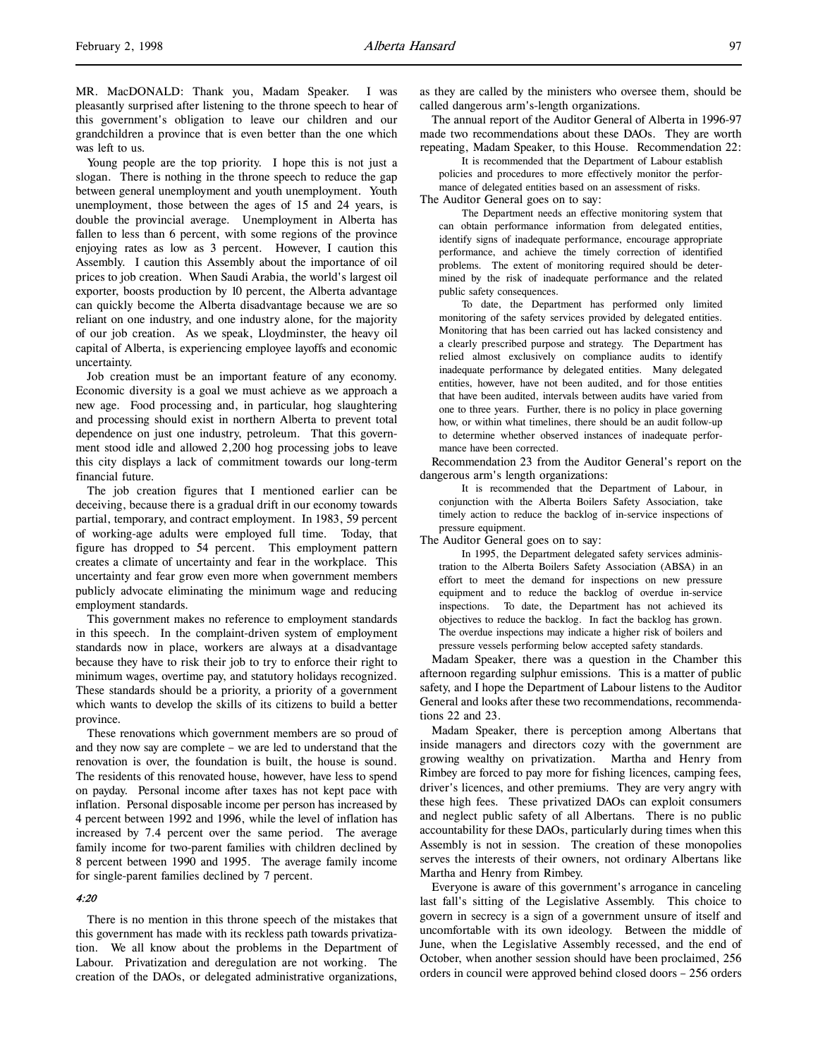MR. MacDONALD: Thank you, Madam Speaker. I was pleasantly surprised after listening to the throne speech to hear of this government's obligation to leave our children and our grandchildren a province that is even better than the one which was left to us.

Young people are the top priority. I hope this is not just a slogan. There is nothing in the throne speech to reduce the gap between general unemployment and youth unemployment. Youth unemployment, those between the ages of 15 and 24 years, is double the provincial average. Unemployment in Alberta has fallen to less than 6 percent, with some regions of the province enjoying rates as low as 3 percent. However, I caution this Assembly. I caution this Assembly about the importance of oil prices to job creation. When Saudi Arabia, the world's largest oil exporter, boosts production by 10 percent, the Alberta advantage can quickly become the Alberta disadvantage because we are so reliant on one industry, and one industry alone, for the majority of our job creation. As we speak, Lloydminster, the heavy oil capital of Alberta, is experiencing employee layoffs and economic uncertainty.

Job creation must be an important feature of any economy. Economic diversity is a goal we must achieve as we approach a new age. Food processing and, in particular, hog slaughtering and processing should exist in northern Alberta to prevent total dependence on just one industry, petroleum. That this government stood idle and allowed 2,200 hog processing jobs to leave this city displays a lack of commitment towards our long-term financial future.

The job creation figures that I mentioned earlier can be deceiving, because there is a gradual drift in our economy towards partial, temporary, and contract employment. In 1983, 59 percent of working-age adults were employed full time. Today, that figure has dropped to 54 percent. This employment pattern creates a climate of uncertainty and fear in the workplace. This uncertainty and fear grow even more when government members publicly advocate eliminating the minimum wage and reducing employment standards.

This government makes no reference to employment standards in this speech. In the complaint-driven system of employment standards now in place, workers are always at a disadvantage because they have to risk their job to try to enforce their right to minimum wages, overtime pay, and statutory holidays recognized. These standards should be a priority, a priority of a government which wants to develop the skills of its citizens to build a better province.

These renovations which government members are so proud of and they now say are complete – we are led to understand that the renovation is over, the foundation is built, the house is sound. The residents of this renovated house, however, have less to spend on payday. Personal income after taxes has not kept pace with inflation. Personal disposable income per person has increased by 4 percent between 1992 and 1996, while the level of inflation has increased by 7.4 percent over the same period. The average family income for two-parent families with children declined by 8 percent between 1990 and 1995. The average family income for single-parent families declined by 7 percent.

#### 4:20

There is no mention in this throne speech of the mistakes that this government has made with its reckless path towards privatization. We all know about the problems in the Department of Labour. Privatization and deregulation are not working. The creation of the DAOs, or delegated administrative organizations,

as they are called by the ministers who oversee them, should be called dangerous arm's-length organizations.

The annual report of the Auditor General of Alberta in 1996-97 made two recommendations about these DAOs. They are worth repeating, Madam Speaker, to this House. Recommendation 22:

It is recommended that the Department of Labour establish policies and procedures to more effectively monitor the performance of delegated entities based on an assessment of risks.

The Auditor General goes on to say:

The Department needs an effective monitoring system that can obtain performance information from delegated entities, identify signs of inadequate performance, encourage appropriate performance, and achieve the timely correction of identified problems. The extent of monitoring required should be determined by the risk of inadequate performance and the related public safety consequences.

To date, the Department has performed only limited monitoring of the safety services provided by delegated entities. Monitoring that has been carried out has lacked consistency and a clearly prescribed purpose and strategy. The Department has relied almost exclusively on compliance audits to identify inadequate performance by delegated entities. Many delegated entities, however, have not been audited, and for those entities that have been audited, intervals between audits have varied from one to three years. Further, there is no policy in place governing how, or within what timelines, there should be an audit follow-up to determine whether observed instances of inadequate performance have been corrected.

Recommendation 23 from the Auditor General's report on the dangerous arm's length organizations:

It is recommended that the Department of Labour, in conjunction with the Alberta Boilers Safety Association, take timely action to reduce the backlog of in-service inspections of pressure equipment.

The Auditor General goes on to say:

In 1995, the Department delegated safety services administration to the Alberta Boilers Safety Association (ABSA) in an effort to meet the demand for inspections on new pressure equipment and to reduce the backlog of overdue in-service inspections. To date, the Department has not achieved its objectives to reduce the backlog. In fact the backlog has grown. The overdue inspections may indicate a higher risk of boilers and pressure vessels performing below accepted safety standards.

Madam Speaker, there was a question in the Chamber this afternoon regarding sulphur emissions. This is a matter of public safety, and I hope the Department of Labour listens to the Auditor General and looks after these two recommendations, recommendations 22 and 23.

Madam Speaker, there is perception among Albertans that inside managers and directors cozy with the government are growing wealthy on privatization. Martha and Henry from Rimbey are forced to pay more for fishing licences, camping fees, driver's licences, and other premiums. They are very angry with these high fees. These privatized DAOs can exploit consumers and neglect public safety of all Albertans. There is no public accountability for these DAOs, particularly during times when this Assembly is not in session. The creation of these monopolies serves the interests of their owners, not ordinary Albertans like Martha and Henry from Rimbey.

Everyone is aware of this government's arrogance in canceling last fall's sitting of the Legislative Assembly. This choice to govern in secrecy is a sign of a government unsure of itself and uncomfortable with its own ideology. Between the middle of June, when the Legislative Assembly recessed, and the end of October, when another session should have been proclaimed, 256 orders in council were approved behind closed doors – 256 orders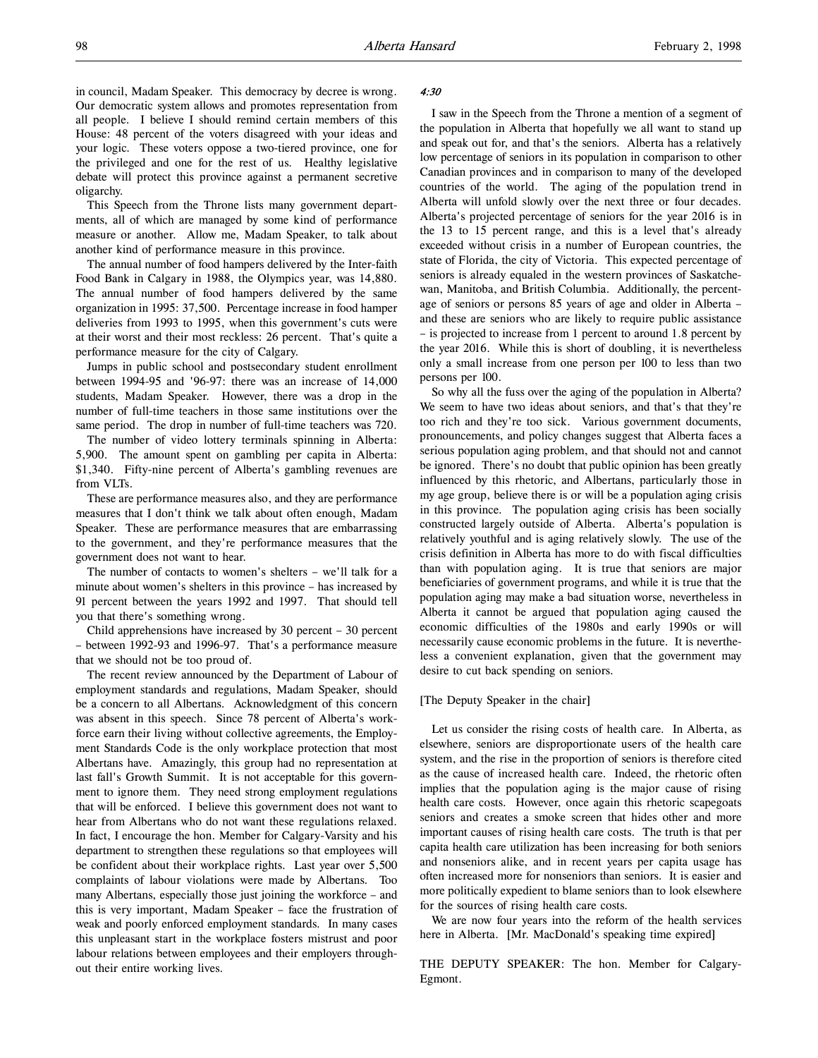in council, Madam Speaker. This democracy by decree is wrong. Our democratic system allows and promotes representation from all people. I believe I should remind certain members of this House: 48 percent of the voters disagreed with your ideas and your logic. These voters oppose a two-tiered province, one for the privileged and one for the rest of us. Healthy legislative debate will protect this province against a permanent secretive oligarchy.

This Speech from the Throne lists many government departments, all of which are managed by some kind of performance measure or another. Allow me, Madam Speaker, to talk about another kind of performance measure in this province.

The annual number of food hampers delivered by the Inter-faith Food Bank in Calgary in 1988, the Olympics year, was 14,880. The annual number of food hampers delivered by the same organization in 1995: 37,500. Percentage increase in food hamper deliveries from 1993 to 1995, when this government's cuts were at their worst and their most reckless: 26 percent. That's quite a performance measure for the city of Calgary.

Jumps in public school and postsecondary student enrollment between 1994-95 and '96-97: there was an increase of 14,000 students, Madam Speaker. However, there was a drop in the number of full-time teachers in those same institutions over the same period. The drop in number of full-time teachers was 720.

The number of video lottery terminals spinning in Alberta: 5,900. The amount spent on gambling per capita in Alberta: \$1,340. Fifty-nine percent of Alberta's gambling revenues are from VLTs.

These are performance measures also, and they are performance measures that I don't think we talk about often enough, Madam Speaker. These are performance measures that are embarrassing to the government, and they're performance measures that the government does not want to hear.

The number of contacts to women's shelters – we'll talk for a minute about women's shelters in this province – has increased by 91 percent between the years 1992 and 1997. That should tell you that there's something wrong.

Child apprehensions have increased by 30 percent – 30 percent – between 1992-93 and 1996-97. That's a performance measure that we should not be too proud of.

The recent review announced by the Department of Labour of employment standards and regulations, Madam Speaker, should be a concern to all Albertans. Acknowledgment of this concern was absent in this speech. Since 78 percent of Alberta's workforce earn their living without collective agreements, the Employment Standards Code is the only workplace protection that most Albertans have. Amazingly, this group had no representation at last fall's Growth Summit. It is not acceptable for this government to ignore them. They need strong employment regulations that will be enforced. I believe this government does not want to hear from Albertans who do not want these regulations relaxed. In fact, I encourage the hon. Member for Calgary-Varsity and his department to strengthen these regulations so that employees will be confident about their workplace rights. Last year over 5,500 complaints of labour violations were made by Albertans. Too many Albertans, especially those just joining the workforce – and this is very important, Madam Speaker – face the frustration of weak and poorly enforced employment standards. In many cases this unpleasant start in the workplace fosters mistrust and poor labour relations between employees and their employers throughout their entire working lives.

### 4:30

I saw in the Speech from the Throne a mention of a segment of the population in Alberta that hopefully we all want to stand up and speak out for, and that's the seniors. Alberta has a relatively low percentage of seniors in its population in comparison to other Canadian provinces and in comparison to many of the developed countries of the world. The aging of the population trend in Alberta will unfold slowly over the next three or four decades. Alberta's projected percentage of seniors for the year 2016 is in the 13 to 15 percent range, and this is a level that's already exceeded without crisis in a number of European countries, the state of Florida, the city of Victoria. This expected percentage of seniors is already equaled in the western provinces of Saskatchewan, Manitoba, and British Columbia. Additionally, the percentage of seniors or persons 85 years of age and older in Alberta – and these are seniors who are likely to require public assistance – is projected to increase from 1 percent to around 1.8 percent by the year 2016. While this is short of doubling, it is nevertheless only a small increase from one person per 100 to less than two persons per 100.

So why all the fuss over the aging of the population in Alberta? We seem to have two ideas about seniors, and that's that they're too rich and they're too sick. Various government documents, pronouncements, and policy changes suggest that Alberta faces a serious population aging problem, and that should not and cannot be ignored. There's no doubt that public opinion has been greatly influenced by this rhetoric, and Albertans, particularly those in my age group, believe there is or will be a population aging crisis in this province. The population aging crisis has been socially constructed largely outside of Alberta. Alberta's population is relatively youthful and is aging relatively slowly. The use of the crisis definition in Alberta has more to do with fiscal difficulties than with population aging. It is true that seniors are major beneficiaries of government programs, and while it is true that the population aging may make a bad situation worse, nevertheless in Alberta it cannot be argued that population aging caused the economic difficulties of the 1980s and early 1990s or will necessarily cause economic problems in the future. It is nevertheless a convenient explanation, given that the government may desire to cut back spending on seniors.

#### [The Deputy Speaker in the chair]

Let us consider the rising costs of health care. In Alberta, as elsewhere, seniors are disproportionate users of the health care system, and the rise in the proportion of seniors is therefore cited as the cause of increased health care. Indeed, the rhetoric often implies that the population aging is the major cause of rising health care costs. However, once again this rhetoric scapegoats seniors and creates a smoke screen that hides other and more important causes of rising health care costs. The truth is that per capita health care utilization has been increasing for both seniors and nonseniors alike, and in recent years per capita usage has often increased more for nonseniors than seniors. It is easier and more politically expedient to blame seniors than to look elsewhere for the sources of rising health care costs.

We are now four years into the reform of the health services here in Alberta. [Mr. MacDonald's speaking time expired]

THE DEPUTY SPEAKER: The hon. Member for Calgary-Egmont.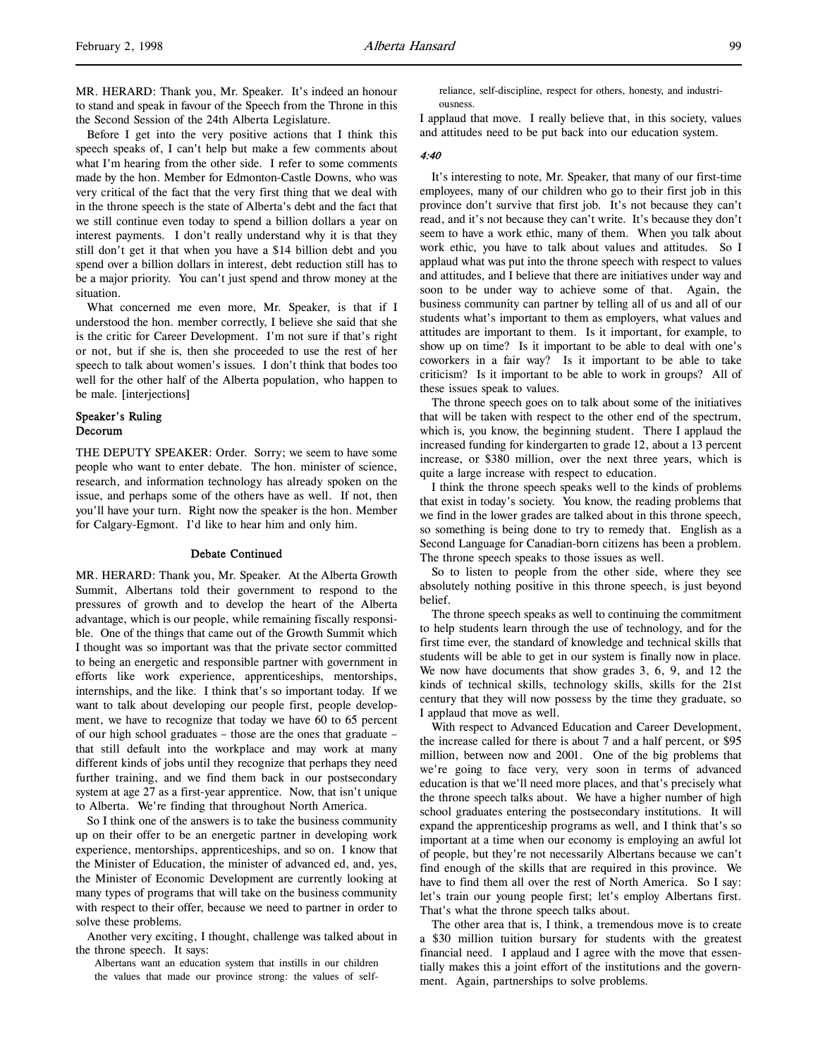MR. HERARD: Thank you, Mr. Speaker. It's indeed an honour to stand and speak in favour of the Speech from the Throne in this the Second Session of the 24th Alberta Legislature.

Before I get into the very positive actions that I think this speech speaks of, I can't help but make a few comments about what I'm hearing from the other side. I refer to some comments made by the hon. Member for Edmonton-Castle Downs, who was very critical of the fact that the very first thing that we deal with in the throne speech is the state of Alberta's debt and the fact that we still continue even today to spend a billion dollars a year on interest payments. I don't really understand why it is that they still don't get it that when you have a \$14 billion debt and you spend over a billion dollars in interest, debt reduction still has to be a major priority. You can't just spend and throw money at the situation.

What concerned me even more, Mr. Speaker, is that if I understood the hon. member correctly, I believe she said that she is the critic for Career Development. I'm not sure if that's right or not, but if she is, then she proceeded to use the rest of her speech to talk about women's issues. I don't think that bodes too well for the other half of the Alberta population, who happen to be male. [interjections]

# Speaker's Ruling Decorum

THE DEPUTY SPEAKER: Order. Sorry; we seem to have some people who want to enter debate. The hon. minister of science, research, and information technology has already spoken on the issue, and perhaps some of the others have as well. If not, then you'll have your turn. Right now the speaker is the hon. Member for Calgary-Egmont. I'd like to hear him and only him.

#### Debate Continued

MR. HERARD: Thank you, Mr. Speaker. At the Alberta Growth Summit, Albertans told their government to respond to the pressures of growth and to develop the heart of the Alberta advantage, which is our people, while remaining fiscally responsible. One of the things that came out of the Growth Summit which I thought was so important was that the private sector committed to being an energetic and responsible partner with government in efforts like work experience, apprenticeships, mentorships, internships, and the like. I think that's so important today. If we want to talk about developing our people first, people development, we have to recognize that today we have 60 to 65 percent of our high school graduates – those are the ones that graduate – that still default into the workplace and may work at many different kinds of jobs until they recognize that perhaps they need further training, and we find them back in our postsecondary system at age 27 as a first-year apprentice. Now, that isn't unique to Alberta. We're finding that throughout North America.

So I think one of the answers is to take the business community up on their offer to be an energetic partner in developing work experience, mentorships, apprenticeships, and so on. I know that the Minister of Education, the minister of advanced ed, and, yes, the Minister of Economic Development are currently looking at many types of programs that will take on the business community with respect to their offer, because we need to partner in order to solve these problems.

Another very exciting, I thought, challenge was talked about in the throne speech. It says:

Albertans want an education system that instills in our children the values that made our province strong: the values of selfreliance, self-discipline, respect for others, honesty, and industriousness.

I applaud that move. I really believe that, in this society, values and attitudes need to be put back into our education system.

## 4:40

It's interesting to note, Mr. Speaker, that many of our first-time employees, many of our children who go to their first job in this province don't survive that first job. It's not because they can't read, and it's not because they can't write. It's because they don't seem to have a work ethic, many of them. When you talk about work ethic, you have to talk about values and attitudes. So I applaud what was put into the throne speech with respect to values and attitudes, and I believe that there are initiatives under way and soon to be under way to achieve some of that. Again, the business community can partner by telling all of us and all of our students what's important to them as employers, what values and attitudes are important to them. Is it important, for example, to show up on time? Is it important to be able to deal with one's coworkers in a fair way? Is it important to be able to take criticism? Is it important to be able to work in groups? All of these issues speak to values.

The throne speech goes on to talk about some of the initiatives that will be taken with respect to the other end of the spectrum, which is, you know, the beginning student. There I applaud the increased funding for kindergarten to grade 12, about a 13 percent increase, or \$380 million, over the next three years, which is quite a large increase with respect to education.

I think the throne speech speaks well to the kinds of problems that exist in today's society. You know, the reading problems that we find in the lower grades are talked about in this throne speech, so something is being done to try to remedy that. English as a Second Language for Canadian-born citizens has been a problem. The throne speech speaks to those issues as well.

So to listen to people from the other side, where they see absolutely nothing positive in this throne speech, is just beyond belief.

The throne speech speaks as well to continuing the commitment to help students learn through the use of technology, and for the first time ever, the standard of knowledge and technical skills that students will be able to get in our system is finally now in place. We now have documents that show grades 3, 6, 9, and 12 the kinds of technical skills, technology skills, skills for the 21st century that they will now possess by the time they graduate, so I applaud that move as well.

With respect to Advanced Education and Career Development, the increase called for there is about 7 and a half percent, or \$95 million, between now and 2001. One of the big problems that we're going to face very, very soon in terms of advanced education is that we'll need more places, and that's precisely what the throne speech talks about. We have a higher number of high school graduates entering the postsecondary institutions. It will expand the apprenticeship programs as well, and I think that's so important at a time when our economy is employing an awful lot of people, but they're not necessarily Albertans because we can't find enough of the skills that are required in this province. We have to find them all over the rest of North America. So I say: let's train our young people first; let's employ Albertans first. That's what the throne speech talks about.

The other area that is, I think, a tremendous move is to create a \$30 million tuition bursary for students with the greatest financial need. I applaud and I agree with the move that essentially makes this a joint effort of the institutions and the government. Again, partnerships to solve problems.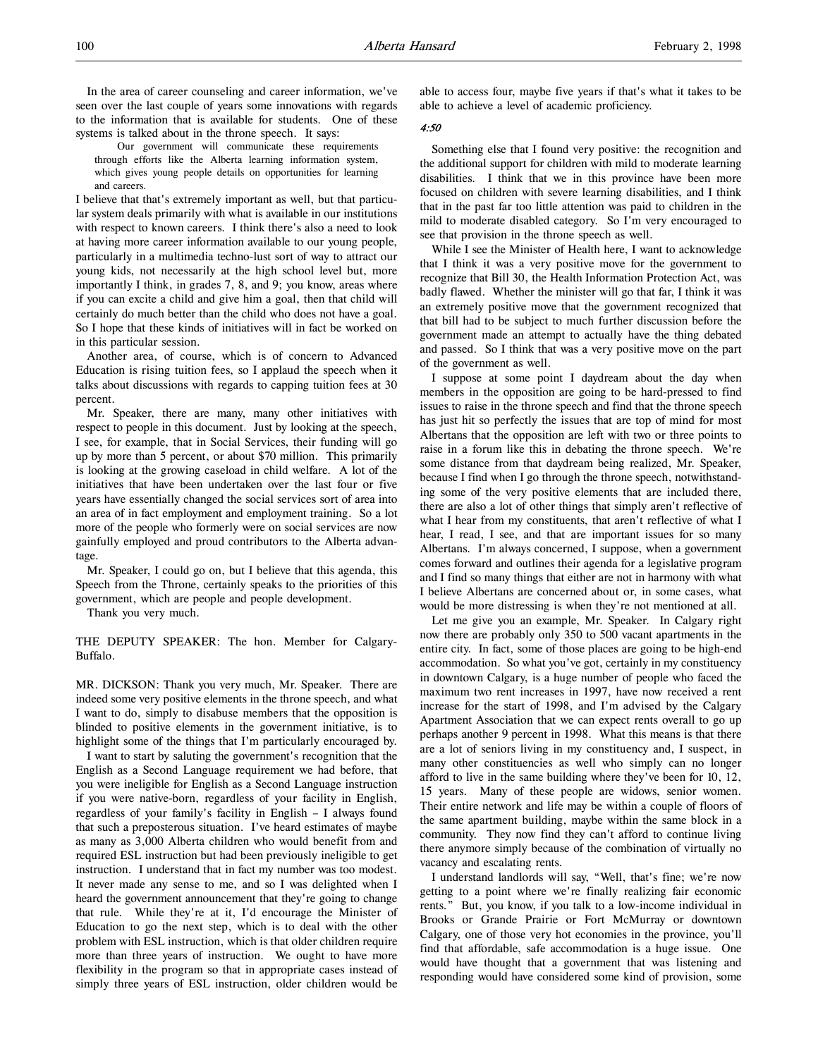In the area of career counseling and career information, we've seen over the last couple of years some innovations with regards to the information that is available for students. One of these systems is talked about in the throne speech. It says:

Our government will communicate these requirements through efforts like the Alberta learning information system, which gives young people details on opportunities for learning and careers.

I believe that that's extremely important as well, but that particular system deals primarily with what is available in our institutions with respect to known careers. I think there's also a need to look at having more career information available to our young people, particularly in a multimedia techno-lust sort of way to attract our young kids, not necessarily at the high school level but, more importantly I think, in grades 7, 8, and 9; you know, areas where if you can excite a child and give him a goal, then that child will certainly do much better than the child who does not have a goal. So I hope that these kinds of initiatives will in fact be worked on in this particular session.

Another area, of course, which is of concern to Advanced Education is rising tuition fees, so I applaud the speech when it talks about discussions with regards to capping tuition fees at 30 percent.

Mr. Speaker, there are many, many other initiatives with respect to people in this document. Just by looking at the speech, I see, for example, that in Social Services, their funding will go up by more than 5 percent, or about \$70 million. This primarily is looking at the growing caseload in child welfare. A lot of the initiatives that have been undertaken over the last four or five years have essentially changed the social services sort of area into an area of in fact employment and employment training. So a lot more of the people who formerly were on social services are now gainfully employed and proud contributors to the Alberta advantage.

Mr. Speaker, I could go on, but I believe that this agenda, this Speech from the Throne, certainly speaks to the priorities of this government, which are people and people development.

Thank you very much.

THE DEPUTY SPEAKER: The hon. Member for Calgary-Buffalo.

MR. DICKSON: Thank you very much, Mr. Speaker. There are indeed some very positive elements in the throne speech, and what I want to do, simply to disabuse members that the opposition is blinded to positive elements in the government initiative, is to highlight some of the things that I'm particularly encouraged by.

I want to start by saluting the government's recognition that the English as a Second Language requirement we had before, that you were ineligible for English as a Second Language instruction if you were native-born, regardless of your facility in English, regardless of your family's facility in English – I always found that such a preposterous situation. I've heard estimates of maybe as many as 3,000 Alberta children who would benefit from and required ESL instruction but had been previously ineligible to get instruction. I understand that in fact my number was too modest. It never made any sense to me, and so I was delighted when I heard the government announcement that they're going to change that rule. While they're at it, I'd encourage the Minister of Education to go the next step, which is to deal with the other problem with ESL instruction, which is that older children require more than three years of instruction. We ought to have more flexibility in the program so that in appropriate cases instead of simply three years of ESL instruction, older children would be

able to access four, maybe five years if that's what it takes to be able to achieve a level of academic proficiency.

#### 4:50

Something else that I found very positive: the recognition and the additional support for children with mild to moderate learning disabilities. I think that we in this province have been more focused on children with severe learning disabilities, and I think that in the past far too little attention was paid to children in the mild to moderate disabled category. So I'm very encouraged to see that provision in the throne speech as well.

While I see the Minister of Health here, I want to acknowledge that I think it was a very positive move for the government to recognize that Bill 30, the Health Information Protection Act, was badly flawed. Whether the minister will go that far, I think it was an extremely positive move that the government recognized that that bill had to be subject to much further discussion before the government made an attempt to actually have the thing debated and passed. So I think that was a very positive move on the part of the government as well.

I suppose at some point I daydream about the day when members in the opposition are going to be hard-pressed to find issues to raise in the throne speech and find that the throne speech has just hit so perfectly the issues that are top of mind for most Albertans that the opposition are left with two or three points to raise in a forum like this in debating the throne speech. We're some distance from that daydream being realized, Mr. Speaker, because I find when I go through the throne speech, notwithstanding some of the very positive elements that are included there, there are also a lot of other things that simply aren't reflective of what I hear from my constituents, that aren't reflective of what I hear, I read, I see, and that are important issues for so many Albertans. I'm always concerned, I suppose, when a government comes forward and outlines their agenda for a legislative program and I find so many things that either are not in harmony with what I believe Albertans are concerned about or, in some cases, what would be more distressing is when they're not mentioned at all.

Let me give you an example, Mr. Speaker. In Calgary right now there are probably only 350 to 500 vacant apartments in the entire city. In fact, some of those places are going to be high-end accommodation. So what you've got, certainly in my constituency in downtown Calgary, is a huge number of people who faced the maximum two rent increases in 1997, have now received a rent increase for the start of 1998, and I'm advised by the Calgary Apartment Association that we can expect rents overall to go up perhaps another 9 percent in 1998. What this means is that there are a lot of seniors living in my constituency and, I suspect, in many other constituencies as well who simply can no longer afford to live in the same building where they've been for 10, 12, 15 years. Many of these people are widows, senior women. Their entire network and life may be within a couple of floors of the same apartment building, maybe within the same block in a community. They now find they can't afford to continue living there anymore simply because of the combination of virtually no vacancy and escalating rents.

I understand landlords will say, "Well, that's fine; we're now getting to a point where we're finally realizing fair economic rents." But, you know, if you talk to a low-income individual in Brooks or Grande Prairie or Fort McMurray or downtown Calgary, one of those very hot economies in the province, you'll find that affordable, safe accommodation is a huge issue. One would have thought that a government that was listening and responding would have considered some kind of provision, some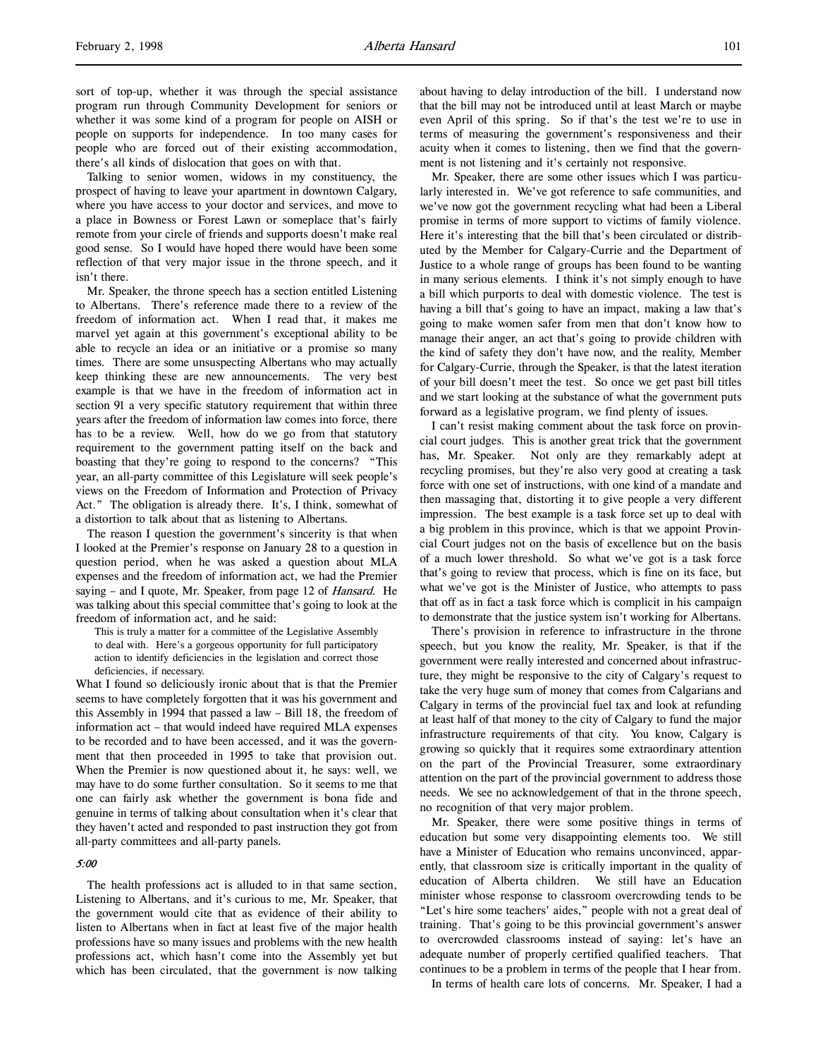sort of top-up, whether it was through the special assistance program run through Community Development for seniors or whether it was some kind of a program for people on AISH or people on supports for independence. In too many cases for people who are forced out of their existing accommodation, there's all kinds of dislocation that goes on with that.

Talking to senior women, widows in my constituency, the prospect of having to leave your apartment in downtown Calgary, where you have access to your doctor and services, and move to a place in Bowness or Forest Lawn or someplace that's fairly remote from your circle of friends and supports doesn't make real good sense. So I would have hoped there would have been some reflection of that very major issue in the throne speech, and it isn't there.

Mr. Speaker, the throne speech has a section entitled Listening to Albertans. There's reference made there to a review of the freedom of information act. When I read that, it makes me marvel yet again at this government's exceptional ability to be able to recycle an idea or an initiative or a promise so many times. There are some unsuspecting Albertans who may actually keep thinking these are new announcements. The very best example is that we have in the freedom of information act in section 91 a very specific statutory requirement that within three years after the freedom of information law comes into force, there has to be a review. Well, how do we go from that statutory requirement to the government patting itself on the back and boasting that they're going to respond to the concerns? "This year, an all-party committee of this Legislature will seek people's views on the Freedom of Information and Protection of Privacy Act." The obligation is already there. It's, I think, somewhat of a distortion to talk about that as listening to Albertans.

The reason I question the government's sincerity is that when I looked at the Premier's response on January 28 to a question in question period, when he was asked a question about MLA expenses and the freedom of information act, we had the Premier saying – and I quote, Mr. Speaker, from page 12 of *Hansard*. He was talking about this special committee that's going to look at the freedom of information act, and he said:

This is truly a matter for a committee of the Legislative Assembly to deal with. Here's a gorgeous opportunity for full participatory action to identify deficiencies in the legislation and correct those deficiencies, if necessary.

What I found so deliciously ironic about that is that the Premier seems to have completely forgotten that it was his government and this Assembly in 1994 that passed a law – Bill 18, the freedom of information act – that would indeed have required MLA expenses to be recorded and to have been accessed, and it was the government that then proceeded in 1995 to take that provision out. When the Premier is now questioned about it, he says: well, we may have to do some further consultation. So it seems to me that one can fairly ask whether the government is bona fide and genuine in terms of talking about consultation when it's clear that they haven't acted and responded to past instruction they got from all-party committees and all-party panels.

### 5:00

The health professions act is alluded to in that same section, Listening to Albertans, and it's curious to me, Mr. Speaker, that the government would cite that as evidence of their ability to listen to Albertans when in fact at least five of the major health professions have so many issues and problems with the new health professions act, which hasn't come into the Assembly yet but which has been circulated, that the government is now talking

about having to delay introduction of the bill. I understand now that the bill may not be introduced until at least March or maybe even April of this spring. So if that's the test we're to use in terms of measuring the government's responsiveness and their acuity when it comes to listening, then we find that the government is not listening and it's certainly not responsive.

Mr. Speaker, there are some other issues which I was particularly interested in. We've got reference to safe communities, and we've now got the government recycling what had been a Liberal promise in terms of more support to victims of family violence. Here it's interesting that the bill that's been circulated or distributed by the Member for Calgary-Currie and the Department of Justice to a whole range of groups has been found to be wanting in many serious elements. I think it's not simply enough to have a bill which purports to deal with domestic violence. The test is having a bill that's going to have an impact, making a law that's going to make women safer from men that don't know how to manage their anger, an act that's going to provide children with the kind of safety they don't have now, and the reality, Member for Calgary-Currie, through the Speaker, is that the latest iteration of your bill doesn't meet the test. So once we get past bill titles and we start looking at the substance of what the government puts forward as a legislative program, we find plenty of issues.

I can't resist making comment about the task force on provincial court judges. This is another great trick that the government has, Mr. Speaker. Not only are they remarkably adept at recycling promises, but they're also very good at creating a task force with one set of instructions, with one kind of a mandate and then massaging that, distorting it to give people a very different impression. The best example is a task force set up to deal with a big problem in this province, which is that we appoint Provincial Court judges not on the basis of excellence but on the basis of a much lower threshold. So what we've got is a task force that's going to review that process, which is fine on its face, but what we've got is the Minister of Justice, who attempts to pass that off as in fact a task force which is complicit in his campaign to demonstrate that the justice system isn't working for Albertans.

There's provision in reference to infrastructure in the throne speech, but you know the reality, Mr. Speaker, is that if the government were really interested and concerned about infrastructure, they might be responsive to the city of Calgary's request to take the very huge sum of money that comes from Calgarians and Calgary in terms of the provincial fuel tax and look at refunding at least half of that money to the city of Calgary to fund the major infrastructure requirements of that city. You know, Calgary is growing so quickly that it requires some extraordinary attention on the part of the Provincial Treasurer, some extraordinary attention on the part of the provincial government to address those needs. We see no acknowledgement of that in the throne speech, no recognition of that very major problem.

Mr. Speaker, there were some positive things in terms of education but some very disappointing elements too. We still have a Minister of Education who remains unconvinced, apparently, that classroom size is critically important in the quality of education of Alberta children. We still have an Education minister whose response to classroom overcrowding tends to be "Let's hire some teachers' aides," people with not a great deal of training. That's going to be this provincial government's answer to overcrowded classrooms instead of saying: let's have an adequate number of properly certified qualified teachers. That continues to be a problem in terms of the people that I hear from.

In terms of health care lots of concerns. Mr. Speaker, I had a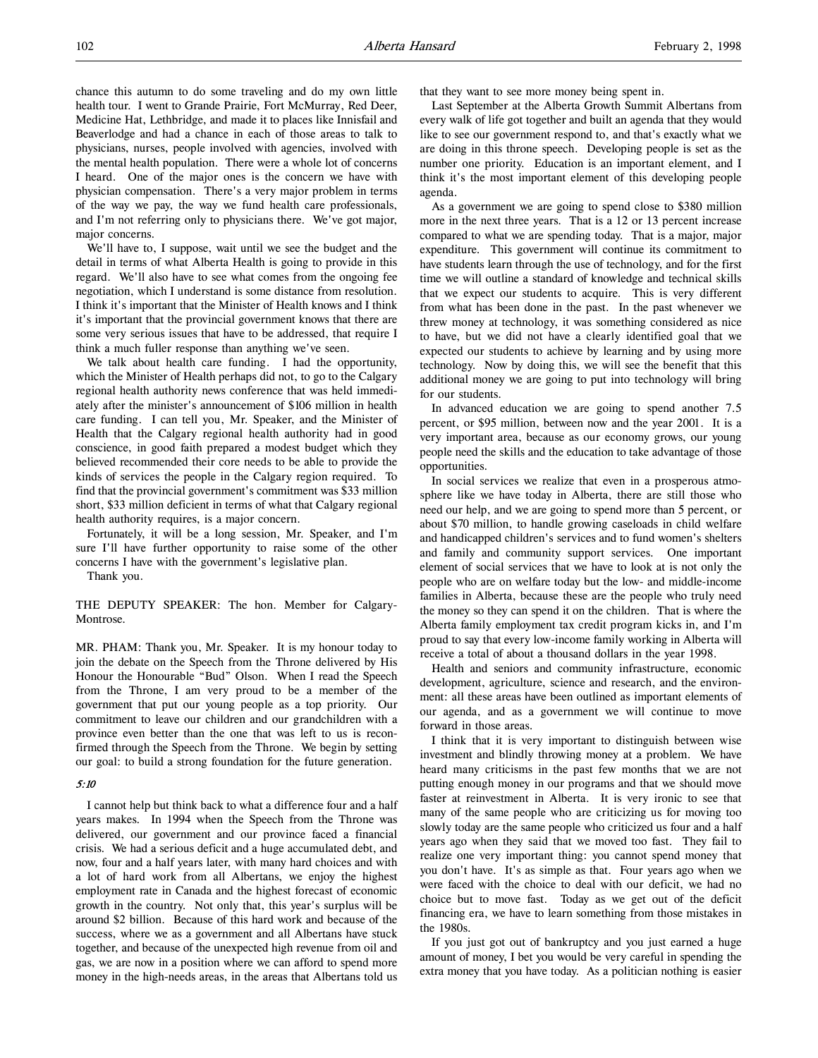chance this autumn to do some traveling and do my own little health tour. I went to Grande Prairie, Fort McMurray, Red Deer, Medicine Hat, Lethbridge, and made it to places like Innisfail and Beaverlodge and had a chance in each of those areas to talk to physicians, nurses, people involved with agencies, involved with the mental health population. There were a whole lot of concerns I heard. One of the major ones is the concern we have with physician compensation. There's a very major problem in terms of the way we pay, the way we fund health care professionals, and I'm not referring only to physicians there. We've got major, major concerns.

We'll have to, I suppose, wait until we see the budget and the detail in terms of what Alberta Health is going to provide in this regard. We'll also have to see what comes from the ongoing fee negotiation, which I understand is some distance from resolution. I think it's important that the Minister of Health knows and I think it's important that the provincial government knows that there are some very serious issues that have to be addressed, that require I think a much fuller response than anything we've seen.

We talk about health care funding. I had the opportunity, which the Minister of Health perhaps did not, to go to the Calgary regional health authority news conference that was held immediately after the minister's announcement of \$106 million in health care funding. I can tell you, Mr. Speaker, and the Minister of Health that the Calgary regional health authority had in good conscience, in good faith prepared a modest budget which they believed recommended their core needs to be able to provide the kinds of services the people in the Calgary region required. To find that the provincial government's commitment was \$33 million short, \$33 million deficient in terms of what that Calgary regional health authority requires, is a major concern.

Fortunately, it will be a long session, Mr. Speaker, and I'm sure I'll have further opportunity to raise some of the other concerns I have with the government's legislative plan.

Thank you.

THE DEPUTY SPEAKER: The hon. Member for Calgary-Montrose.

MR. PHAM: Thank you, Mr. Speaker. It is my honour today to join the debate on the Speech from the Throne delivered by His Honour the Honourable "Bud" Olson. When I read the Speech from the Throne, I am very proud to be a member of the government that put our young people as a top priority. Our commitment to leave our children and our grandchildren with a province even better than the one that was left to us is reconfirmed through the Speech from the Throne. We begin by setting our goal: to build a strong foundation for the future generation.

# 5:10

I cannot help but think back to what a difference four and a half years makes. In 1994 when the Speech from the Throne was delivered, our government and our province faced a financial crisis. We had a serious deficit and a huge accumulated debt, and now, four and a half years later, with many hard choices and with a lot of hard work from all Albertans, we enjoy the highest employment rate in Canada and the highest forecast of economic growth in the country. Not only that, this year's surplus will be around \$2 billion. Because of this hard work and because of the success, where we as a government and all Albertans have stuck together, and because of the unexpected high revenue from oil and gas, we are now in a position where we can afford to spend more money in the high-needs areas, in the areas that Albertans told us

that they want to see more money being spent in.

Last September at the Alberta Growth Summit Albertans from every walk of life got together and built an agenda that they would like to see our government respond to, and that's exactly what we are doing in this throne speech. Developing people is set as the number one priority. Education is an important element, and I think it's the most important element of this developing people agenda.

As a government we are going to spend close to \$380 million more in the next three years. That is a 12 or 13 percent increase compared to what we are spending today. That is a major, major expenditure. This government will continue its commitment to have students learn through the use of technology, and for the first time we will outline a standard of knowledge and technical skills that we expect our students to acquire. This is very different from what has been done in the past. In the past whenever we threw money at technology, it was something considered as nice to have, but we did not have a clearly identified goal that we expected our students to achieve by learning and by using more technology. Now by doing this, we will see the benefit that this additional money we are going to put into technology will bring for our students.

In advanced education we are going to spend another 7.5 percent, or \$95 million, between now and the year 2001. It is a very important area, because as our economy grows, our young people need the skills and the education to take advantage of those opportunities.

In social services we realize that even in a prosperous atmosphere like we have today in Alberta, there are still those who need our help, and we are going to spend more than 5 percent, or about \$70 million, to handle growing caseloads in child welfare and handicapped children's services and to fund women's shelters and family and community support services. One important element of social services that we have to look at is not only the people who are on welfare today but the low- and middle-income families in Alberta, because these are the people who truly need the money so they can spend it on the children. That is where the Alberta family employment tax credit program kicks in, and I'm proud to say that every low-income family working in Alberta will receive a total of about a thousand dollars in the year 1998.

Health and seniors and community infrastructure, economic development, agriculture, science and research, and the environment: all these areas have been outlined as important elements of our agenda, and as a government we will continue to move forward in those areas.

I think that it is very important to distinguish between wise investment and blindly throwing money at a problem. We have heard many criticisms in the past few months that we are not putting enough money in our programs and that we should move faster at reinvestment in Alberta. It is very ironic to see that many of the same people who are criticizing us for moving too slowly today are the same people who criticized us four and a half years ago when they said that we moved too fast. They fail to realize one very important thing: you cannot spend money that you don't have. It's as simple as that. Four years ago when we were faced with the choice to deal with our deficit, we had no choice but to move fast. Today as we get out of the deficit financing era, we have to learn something from those mistakes in the 1980s.

If you just got out of bankruptcy and you just earned a huge amount of money, I bet you would be very careful in spending the extra money that you have today. As a politician nothing is easier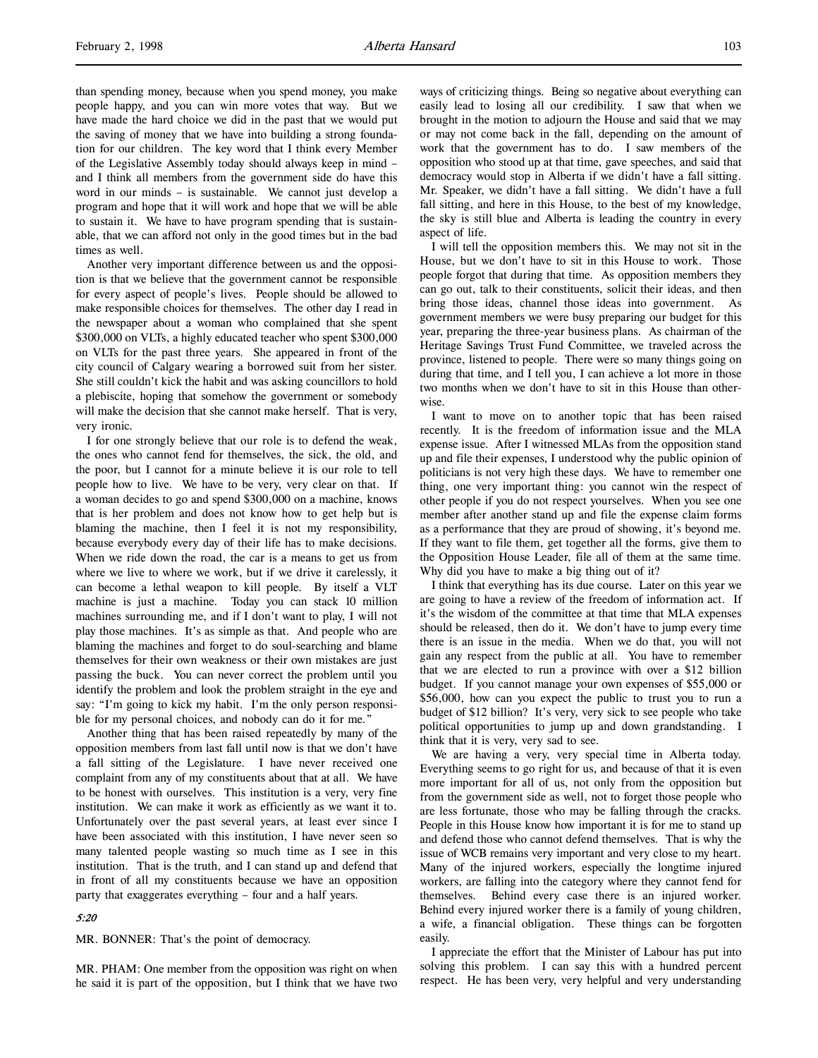than spending money, because when you spend money, you make people happy, and you can win more votes that way. But we have made the hard choice we did in the past that we would put the saving of money that we have into building a strong foundation for our children. The key word that I think every Member of the Legislative Assembly today should always keep in mind – and I think all members from the government side do have this word in our minds – is sustainable. We cannot just develop a program and hope that it will work and hope that we will be able to sustain it. We have to have program spending that is sustainable, that we can afford not only in the good times but in the bad times as well.

Another very important difference between us and the opposition is that we believe that the government cannot be responsible for every aspect of people's lives. People should be allowed to make responsible choices for themselves. The other day I read in the newspaper about a woman who complained that she spent \$300,000 on VLTs, a highly educated teacher who spent \$300,000 on VLTs for the past three years. She appeared in front of the city council of Calgary wearing a borrowed suit from her sister. She still couldn't kick the habit and was asking councillors to hold a plebiscite, hoping that somehow the government or somebody will make the decision that she cannot make herself. That is very, very ironic.

I for one strongly believe that our role is to defend the weak, the ones who cannot fend for themselves, the sick, the old, and the poor, but I cannot for a minute believe it is our role to tell people how to live. We have to be very, very clear on that. If a woman decides to go and spend \$300,000 on a machine, knows that is her problem and does not know how to get help but is blaming the machine, then I feel it is not my responsibility, because everybody every day of their life has to make decisions. When we ride down the road, the car is a means to get us from where we live to where we work, but if we drive it carelessly, it can become a lethal weapon to kill people. By itself a VLT machine is just a machine. Today you can stack 10 million machines surrounding me, and if I don't want to play, I will not play those machines. It's as simple as that. And people who are blaming the machines and forget to do soul-searching and blame themselves for their own weakness or their own mistakes are just passing the buck. You can never correct the problem until you identify the problem and look the problem straight in the eye and say: "I'm going to kick my habit. I'm the only person responsible for my personal choices, and nobody can do it for me."

Another thing that has been raised repeatedly by many of the opposition members from last fall until now is that we don't have a fall sitting of the Legislature. I have never received one complaint from any of my constituents about that at all. We have to be honest with ourselves. This institution is a very, very fine institution. We can make it work as efficiently as we want it to. Unfortunately over the past several years, at least ever since I have been associated with this institution, I have never seen so many talented people wasting so much time as I see in this institution. That is the truth, and I can stand up and defend that in front of all my constituents because we have an opposition party that exaggerates everything – four and a half years.

# 5:20

MR. BONNER: That's the point of democracy.

MR. PHAM: One member from the opposition was right on when he said it is part of the opposition, but I think that we have two ways of criticizing things. Being so negative about everything can easily lead to losing all our credibility. I saw that when we brought in the motion to adjourn the House and said that we may or may not come back in the fall, depending on the amount of work that the government has to do. I saw members of the opposition who stood up at that time, gave speeches, and said that democracy would stop in Alberta if we didn't have a fall sitting. Mr. Speaker, we didn't have a fall sitting. We didn't have a full fall sitting, and here in this House, to the best of my knowledge, the sky is still blue and Alberta is leading the country in every aspect of life.

I will tell the opposition members this. We may not sit in the House, but we don't have to sit in this House to work. Those people forgot that during that time. As opposition members they can go out, talk to their constituents, solicit their ideas, and then bring those ideas, channel those ideas into government. As government members we were busy preparing our budget for this year, preparing the three-year business plans. As chairman of the Heritage Savings Trust Fund Committee, we traveled across the province, listened to people. There were so many things going on during that time, and I tell you, I can achieve a lot more in those two months when we don't have to sit in this House than otherwise.

I want to move on to another topic that has been raised recently. It is the freedom of information issue and the MLA expense issue. After I witnessed MLAs from the opposition stand up and file their expenses, I understood why the public opinion of politicians is not very high these days. We have to remember one thing, one very important thing: you cannot win the respect of other people if you do not respect yourselves. When you see one member after another stand up and file the expense claim forms as a performance that they are proud of showing, it's beyond me. If they want to file them, get together all the forms, give them to the Opposition House Leader, file all of them at the same time. Why did you have to make a big thing out of it?

I think that everything has its due course. Later on this year we are going to have a review of the freedom of information act. If it's the wisdom of the committee at that time that MLA expenses should be released, then do it. We don't have to jump every time there is an issue in the media. When we do that, you will not gain any respect from the public at all. You have to remember that we are elected to run a province with over a \$12 billion budget. If you cannot manage your own expenses of \$55,000 or \$56,000, how can you expect the public to trust you to run a budget of \$12 billion? It's very, very sick to see people who take political opportunities to jump up and down grandstanding. I think that it is very, very sad to see.

We are having a very, very special time in Alberta today. Everything seems to go right for us, and because of that it is even more important for all of us, not only from the opposition but from the government side as well, not to forget those people who are less fortunate, those who may be falling through the cracks. People in this House know how important it is for me to stand up and defend those who cannot defend themselves. That is why the issue of WCB remains very important and very close to my heart. Many of the injured workers, especially the longtime injured workers, are falling into the category where they cannot fend for themselves. Behind every case there is an injured worker. Behind every injured worker there is a family of young children, a wife, a financial obligation. These things can be forgotten easily.

I appreciate the effort that the Minister of Labour has put into solving this problem. I can say this with a hundred percent respect. He has been very, very helpful and very understanding